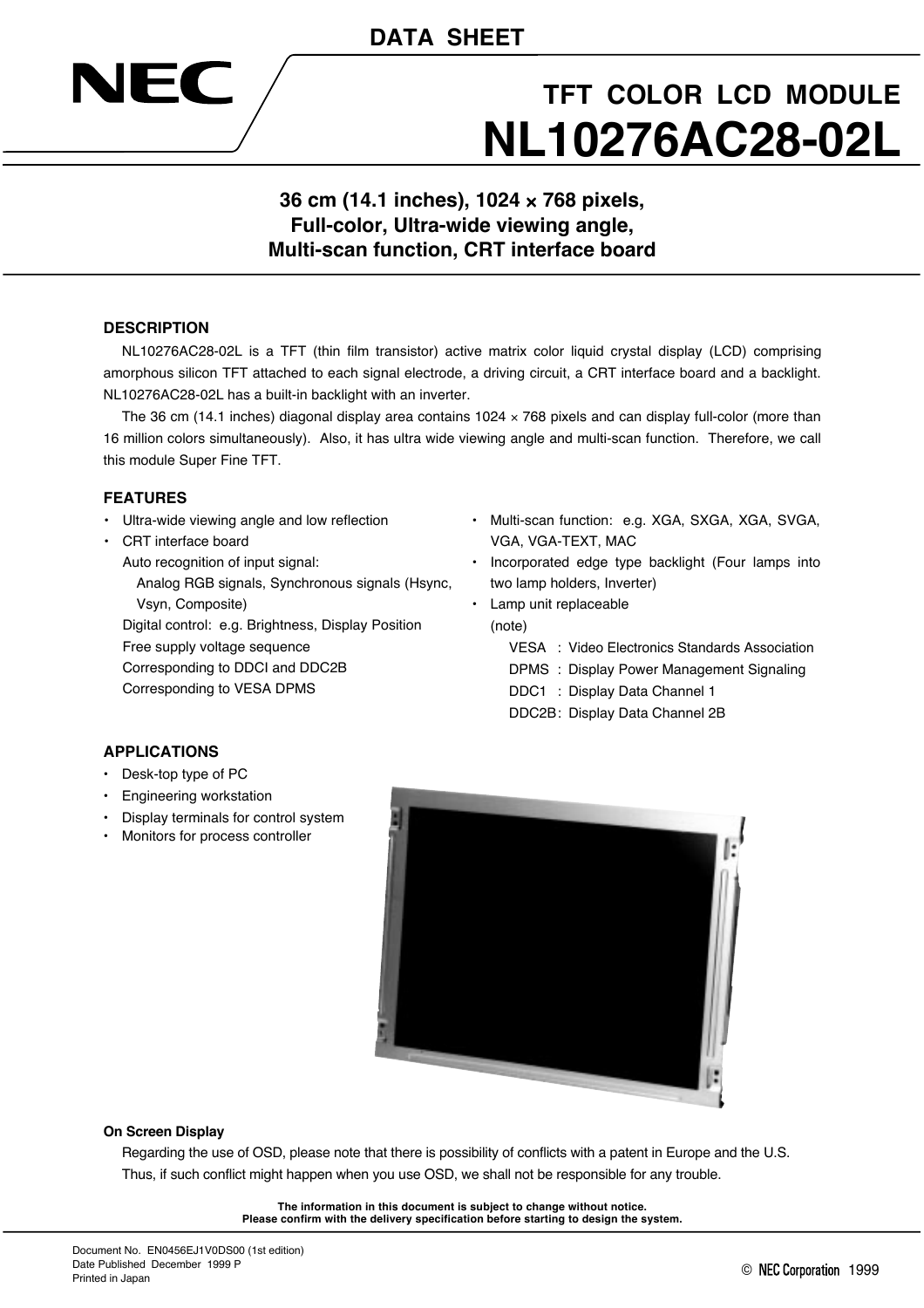## **DATA SHEET**



# **TFT COLOR LCD MODULE NL10276AC28-02L**

### **36 cm (14.1 inches), 1024** × **768 pixels, Full-color, Ultra-wide viewing angle, Multi-scan function, CRT interface board**

### **DESCRIPTION**

NL10276AC28-02L is a TFT (thin film transistor) active matrix color liquid crystal display (LCD) comprising amorphous silicon TFT attached to each signal electrode, a driving circuit, a CRT interface board and a backlight. NL10276AC28-02L has a built-in backlight with an inverter.

The 36 cm (14.1 inches) diagonal display area contains  $1024 \times 768$  pixels and can display full-color (more than 16 million colors simultaneously). Also, it has ultra wide viewing angle and multi-scan function. Therefore, we call this module Super Fine TFT.

#### **FEATURES**

- Ultra-wide viewing angle and low reflection
- CRT interface board

Auto recognition of input signal:

Analog RGB signals, Synchronous signals (Hsync, Vsyn, Composite)

Digital control: e.g. Brightness, Display Position Free supply voltage sequence Corresponding to DDCI and DDC2B Corresponding to VESA DPMS

- Multi-scan function: e.g. XGA, SXGA, XGA, SVGA, VGA, VGA-TEXT, MAC
- Incorporated edge type backlight (Four lamps into two lamp holders, Inverter)
- Lamp unit replaceable (note)
	- VESA : Video Electronics Standards Association
	- DPMS : Display Power Management Signaling
	- DDC1 : Display Data Channel 1
	- DDC2B: Display Data Channel 2B

### **APPLICATIONS**

- Desk-top type of PC
- Engineering workstation
- Display terminals for control system
- Monitors for process controller



#### **On Screen Display**

Regarding the use of OSD, please note that there is possibility of conflicts with a patent in Europe and the U.S. Thus, if such conflict might happen when you use OSD, we shall not be responsible for any trouble.

> **The information in this document is subject to change without notice. Please confirm with the delivery specification before starting to design the system.**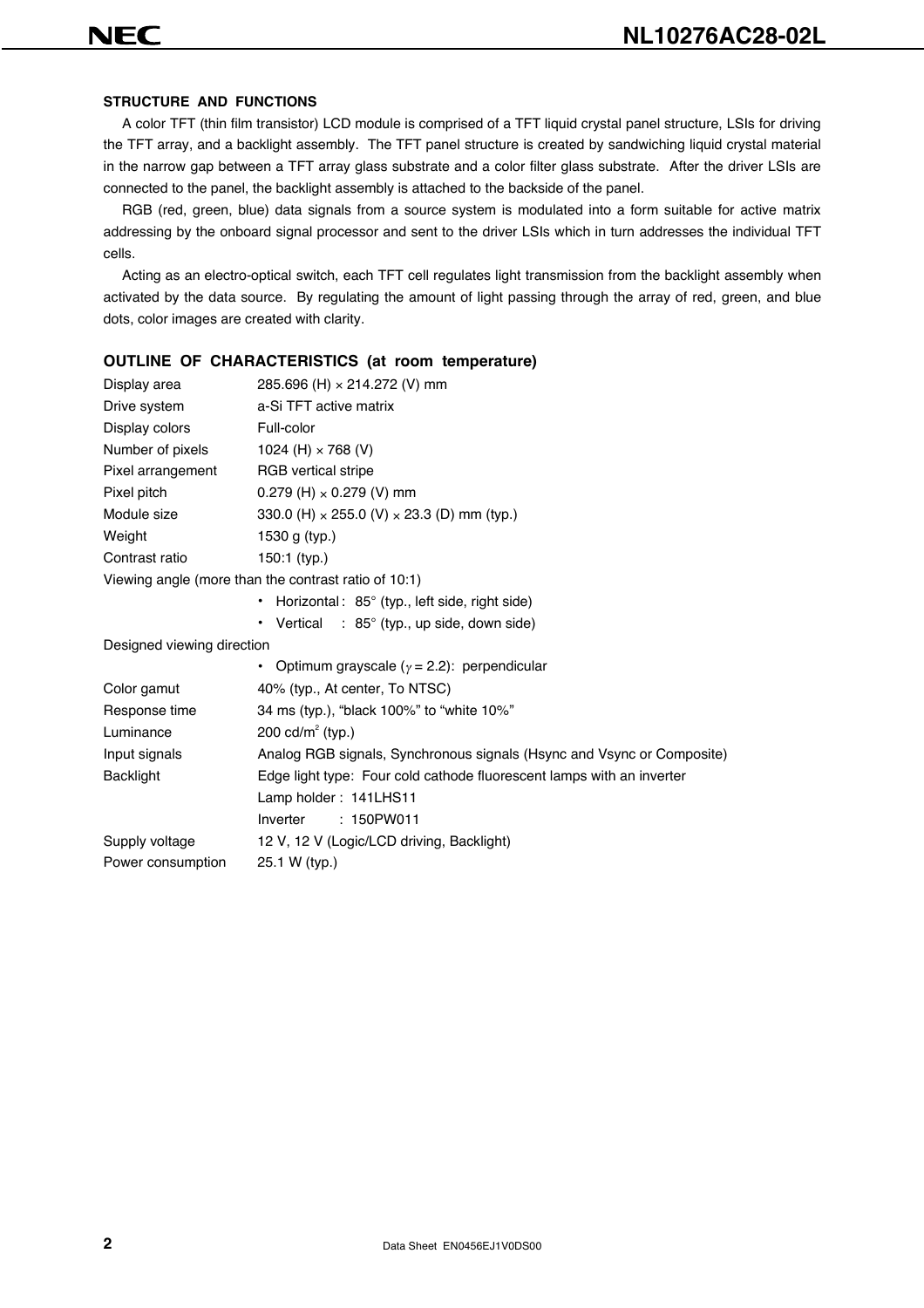#### **STRUCTURE AND FUNCTIONS**

A color TFT (thin film transistor) LCD module is comprised of a TFT liquid crystal panel structure, LSIs for driving the TFT array, and a backlight assembly. The TFT panel structure is created by sandwiching liquid crystal material in the narrow gap between a TFT array glass substrate and a color filter glass substrate. After the driver LSIs are connected to the panel, the backlight assembly is attached to the backside of the panel.

RGB (red, green, blue) data signals from a source system is modulated into a form suitable for active matrix addressing by the onboard signal processor and sent to the driver LSIs which in turn addresses the individual TFT cells.

Acting as an electro-optical switch, each TFT cell regulates light transmission from the backlight assembly when activated by the data source. By regulating the amount of light passing through the array of red, green, and blue dots, color images are created with clarity.

|                            | <b>OUTLINE OF CHARACTERISTICS (at room temperature)</b>                |
|----------------------------|------------------------------------------------------------------------|
| Display area               | 285.696 (H) × 214.272 (V) mm                                           |
| Drive system               | a-Si TFT active matrix                                                 |
| Display colors             | Full-color                                                             |
| Number of pixels           | 1024 (H) $\times$ 768 (V)                                              |
| Pixel arrangement          | <b>RGB</b> vertical stripe                                             |
| Pixel pitch                | $0.279$ (H) $\times$ 0.279 (V) mm                                      |
| Module size                | 330.0 (H) $\times$ 255.0 (V) $\times$ 23.3 (D) mm (typ.)               |
| Weight                     | 1530 g (typ.)                                                          |
| Contrast ratio             | $150:1$ (typ.)                                                         |
|                            | Viewing angle (more than the contrast ratio of 10:1)                   |
|                            | • Horizontal: 85° (typ., left side, right side)                        |
|                            | • Vertical : $85^\circ$ (typ., up side, down side)                     |
| Designed viewing direction |                                                                        |
|                            | • Optimum grayscale ( $\gamma$ = 2.2): perpendicular                   |
| Color gamut                | 40% (typ., At center, To NTSC)                                         |
| Response time              | 34 ms (typ.), "black 100%" to "white 10%"                              |
| Luminance                  | 200 cd/ $m^2$ (typ.)                                                   |
| Input signals              | Analog RGB signals, Synchronous signals (Hsync and Vsync or Composite) |
| <b>Backlight</b>           | Edge light type: Four cold cathode fluorescent lamps with an inverter  |
|                            | Lamp holder: 141LHS11                                                  |
|                            | : 150PW011<br>Inverter                                                 |
| Supply voltage             | 12 V, 12 V (Logic/LCD driving, Backlight)                              |
| Power consumption          | 25.1 W (typ.)                                                          |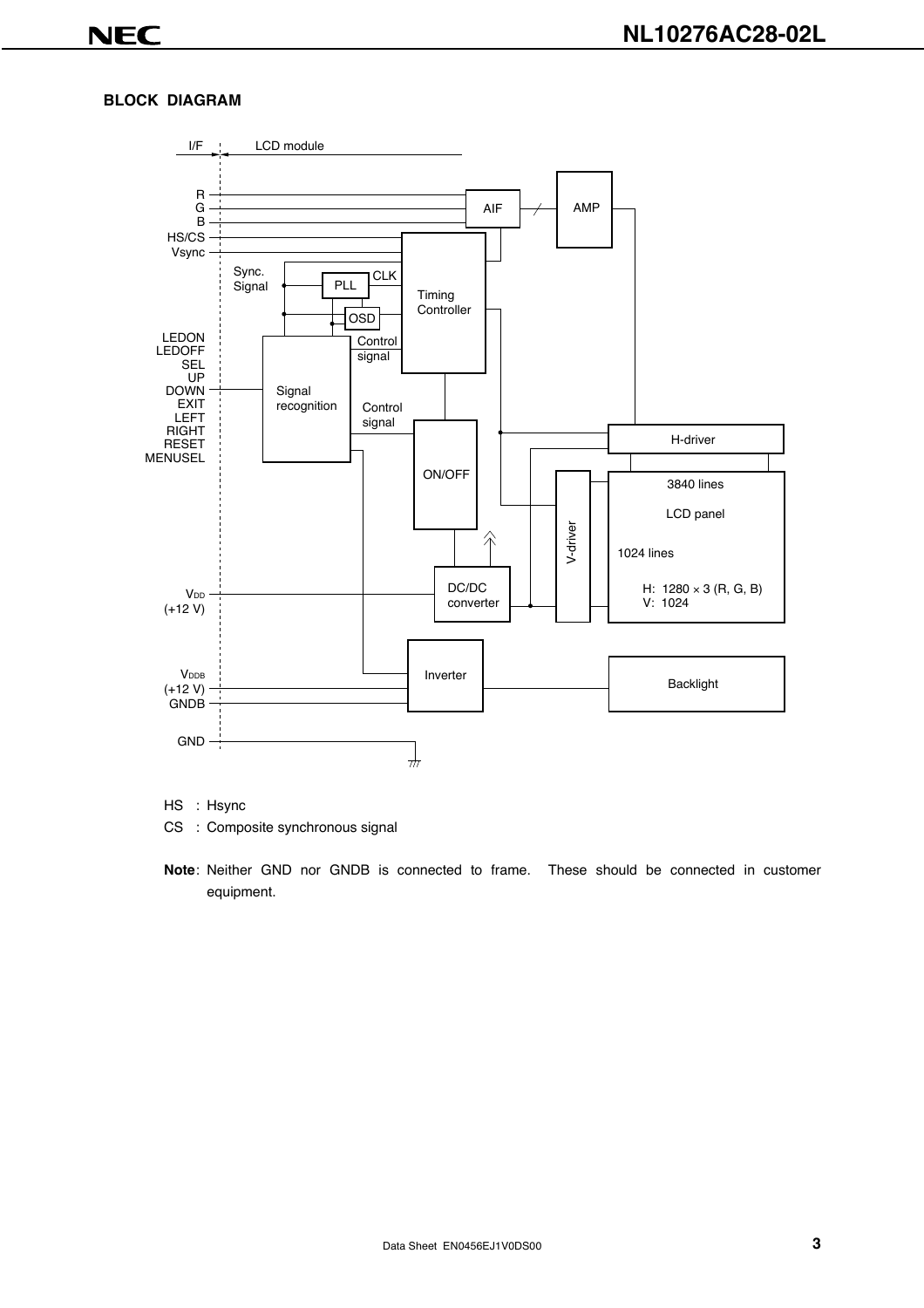### **BLOCK DIAGRAM**



HS : Hsync

CS : Composite synchronous signal

**Note**: Neither GND nor GNDB is connected to frame. These should be connected in customer equipment.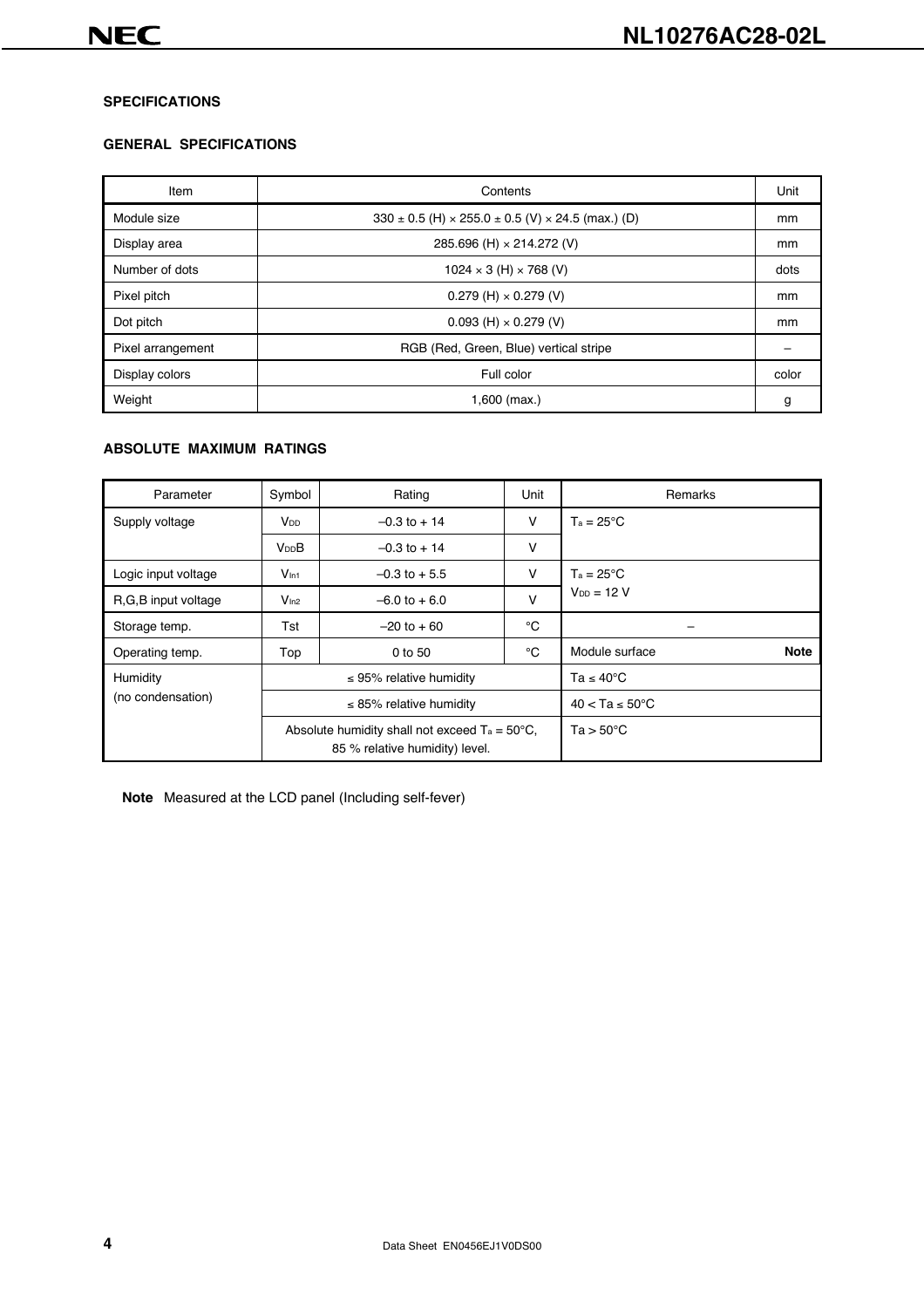#### **SPECIFICATIONS**

#### **GENERAL SPECIFICATIONS**

| Item              | Contents                                                                |       |  |  |
|-------------------|-------------------------------------------------------------------------|-------|--|--|
| Module size       | $330 \pm 0.5$ (H) $\times$ 255.0 $\pm$ 0.5 (V) $\times$ 24.5 (max.) (D) | mm    |  |  |
| Display area      | 285.696 (H) × 214.272 (V)                                               | mm    |  |  |
| Number of dots    | $1024 \times 3$ (H) $\times$ 768 (V)                                    | dots  |  |  |
| Pixel pitch       | $0.279$ (H) $\times$ 0.279 (V)                                          | mm    |  |  |
| Dot pitch         | $0.093$ (H) $\times$ 0.279 (V)                                          | mm    |  |  |
| Pixel arrangement | RGB (Red, Green, Blue) vertical stripe                                  |       |  |  |
| Display colors    | Full color                                                              | color |  |  |
| Weight            | $1,600$ (max.)                                                          | g     |  |  |

#### **ABSOLUTE MAXIMUM RATINGS**

| Parameter                                                                                 | Symbol                       | Rating                       | Unit                        | Remarks                       |
|-------------------------------------------------------------------------------------------|------------------------------|------------------------------|-----------------------------|-------------------------------|
| Supply voltage                                                                            | <b>V</b> <sub>DD</sub>       | $-0.3$ to $+14$              | V                           | $T_a = 25^{\circ}C$           |
|                                                                                           | <b>V<sub>DD</sub>B</b>       | $-0.3$ to $+14$              | v                           |                               |
| Logic input voltage                                                                       | V <sub>ln1</sub>             | $-0.3$ to $+5.5$             | v                           | $Ta = 25^{\circ}C$            |
| R, G, B input voltage                                                                     | V <sub>ln2</sub>             | $-6.0$ to $+6.0$             | $\vee$                      | $V_{DD} = 12 V$               |
| Storage temp.                                                                             | Tst                          | $-20$ to $+60$               | °C                          |                               |
| Operating temp.                                                                           | Top                          | 0 to 50                      |                             | <b>Note</b><br>Module surface |
| Humidity                                                                                  | $\leq$ 95% relative humidity |                              | Ta $\leq 40^{\circ}$ C      |                               |
| (no condensation)                                                                         |                              | $\leq$ 85% relative humidity | $40 < Ta \leq 50^{\circ}$ C |                               |
| Absolute humidity shall not exceed $Ta = 50^{\circ}C$ ,<br>85 % relative humidity) level. |                              |                              |                             | $Ta > 50^{\circ}C$            |

**Note** Measured at the LCD panel (Including self-fever)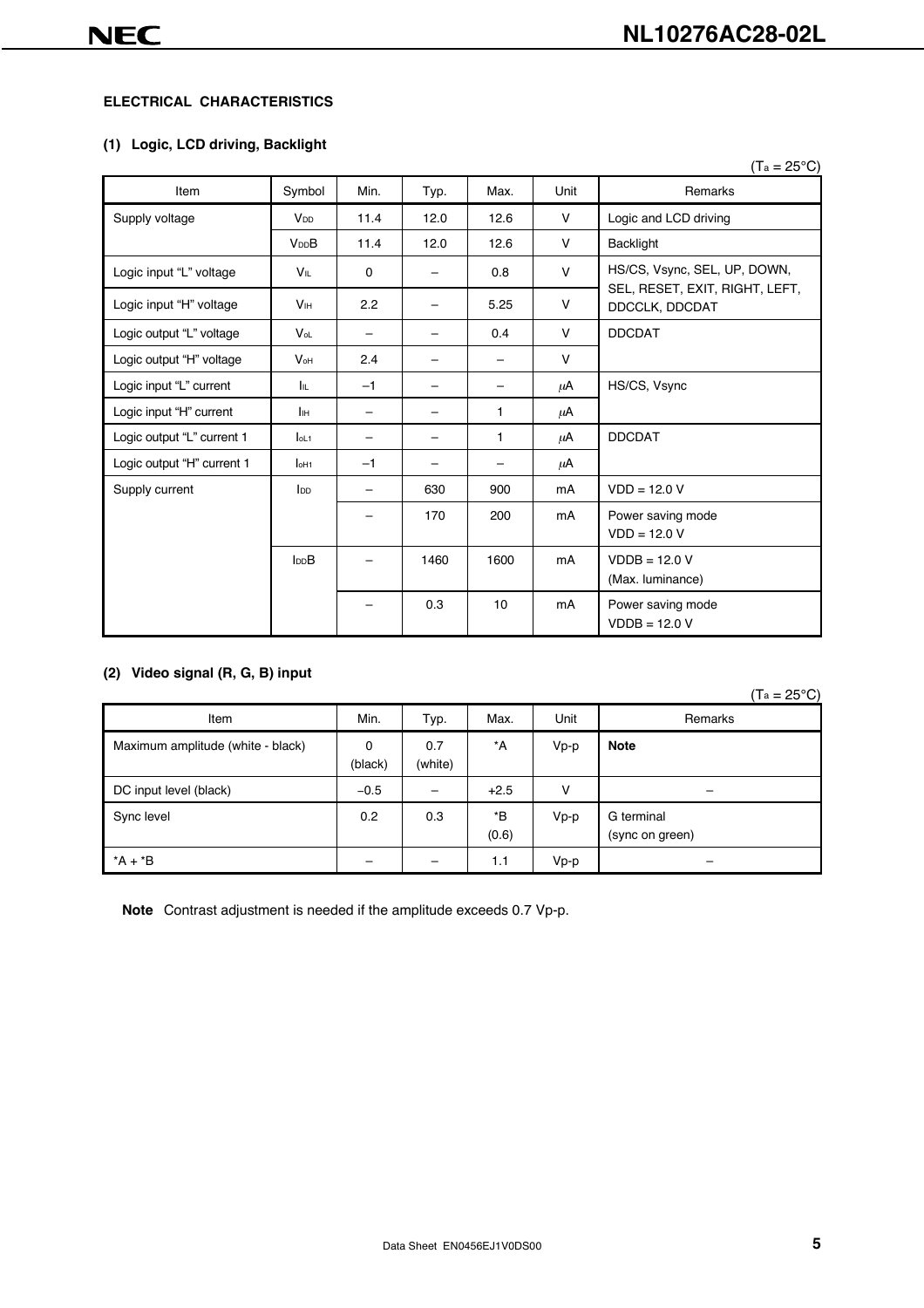#### **ELECTRICAL CHARACTERISTICS**

#### **(1) Logic, LCD driving, Backlight**

|                            |                        |          |      |      |        | $(T_a = 25^{\circ}C)$                            |
|----------------------------|------------------------|----------|------|------|--------|--------------------------------------------------|
| Item                       | Symbol                 | Min.     | Typ. | Max. | Unit   | Remarks                                          |
| Supply voltage             | V <sub>DD</sub>        | 11.4     | 12.0 | 12.6 | $\vee$ | Logic and LCD driving                            |
|                            | <b>V<sub>DD</sub>B</b> | 11.4     | 12.0 | 12.6 | $\vee$ | Backlight                                        |
| Logic input "L" voltage    | VIL                    | $\Omega$ | -    | 0.8  | $\vee$ | HS/CS, Vsync, SEL, UP, DOWN,                     |
| Logic input "H" voltage    | <b>V<sub>IH</sub></b>  | 2.2      | -    | 5.25 | V      | SEL, RESET, EXIT, RIGHT, LEFT,<br>DDCCLK, DDCDAT |
| Logic output "L" voltage   | $V_{oL}$               |          | -    | 0.4  | V      | <b>DDCDAT</b>                                    |
| Logic output "H" voltage   | $V_{\text{OH}}$        | 2.4      |      | -    | $\vee$ |                                                  |
| Logic input "L" current    | Iπ                     | $-1$     |      | -    | μA     | HS/CS, Vsync                                     |
| Logic input "H" current    | Jін                    | -        | -    | 1    | μA     |                                                  |
| Logic output "L" current 1 | $Iol-1$                |          | -    | 1    | μA     | <b>DDCDAT</b>                                    |
| Logic output "H" current 1 | I <sub>OH1</sub>       | $-1$     |      |      | μA     |                                                  |
| Supply current             | I <sub>DD</sub>        |          | 630  | 900  | mA     | $VDD = 12.0 V$                                   |
|                            |                        |          | 170  | 200  | mA     | Power saving mode<br>$VDD = 12.0 V$              |
|                            | In <sub>B</sub>        |          | 1460 | 1600 | mA     | $VDDB = 12.0 V$<br>(Max. luminance)              |
|                            |                        |          | 0.3  | 10   | mA     | Power saving mode<br>$VDDB = 12.0 V$             |

#### **(2) Video signal (R, G, B) input**

|                                   |              |                          |             |      | $(T_a = 25^{\circ}C)$         |
|-----------------------------------|--------------|--------------------------|-------------|------|-------------------------------|
| Item                              | Min.         | Typ.                     | Max.        | Unit | Remarks                       |
| Maximum amplitude (white - black) | 0<br>(black) | 0.7<br>(white)           | *A          | Vp-p | <b>Note</b>                   |
| DC input level (black)            | $-0.5$       | $\overline{\phantom{0}}$ | $+2.5$      | v    |                               |
| Sync level                        | 0.2          | 0.3                      | *B<br>(0.6) | Vp-p | G terminal<br>(sync on green) |
| $*A + *B$                         |              |                          | 1.1         | Vp-p |                               |

**Note** Contrast adjustment is needed if the amplitude exceeds 0.7 Vp-p.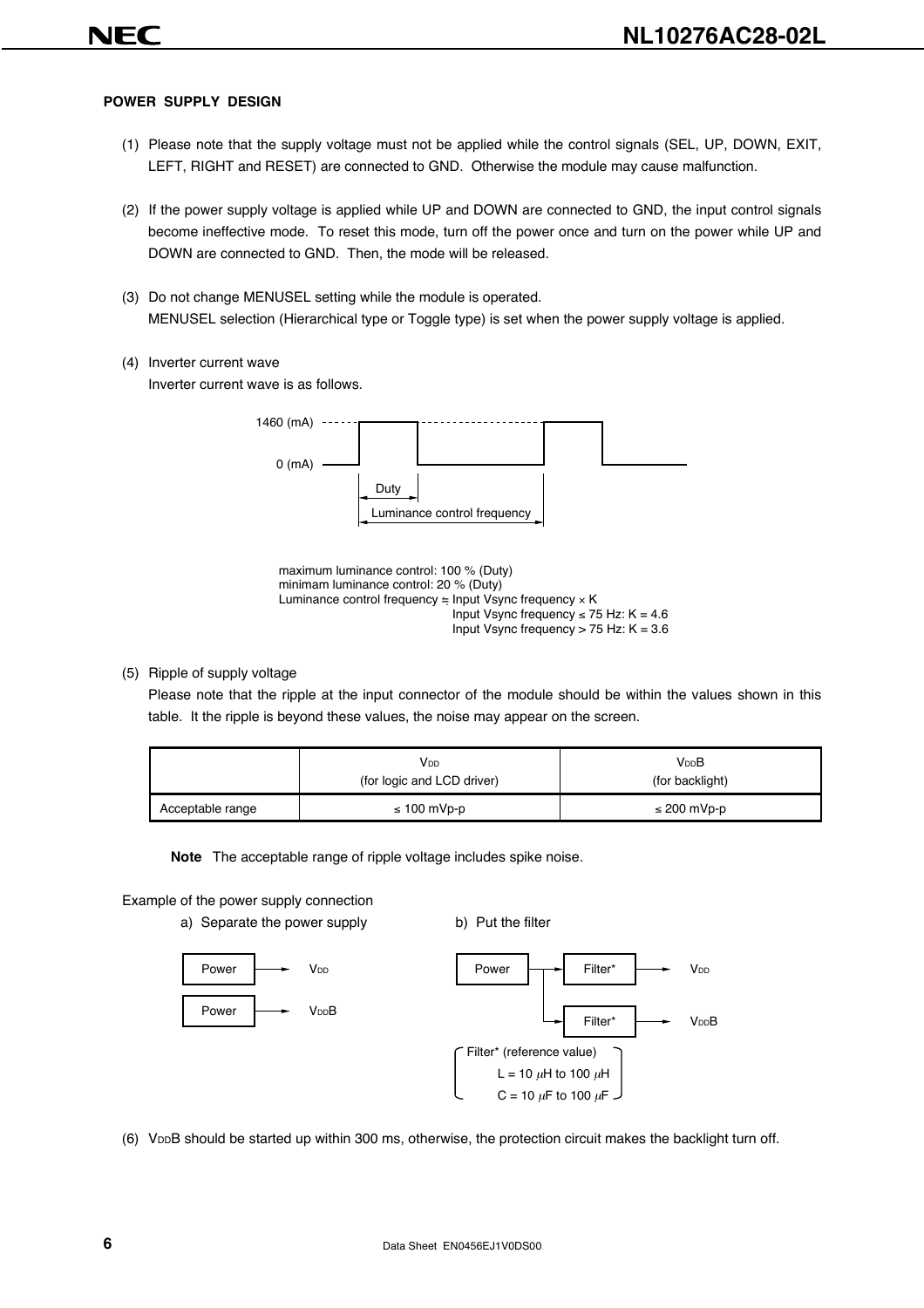#### **POWER SUPPLY DESIGN**

- (1) Please note that the supply voltage must not be applied while the control signals (SEL, UP, DOWN, EXIT, LEFT, RIGHT and RESET) are connected to GND. Otherwise the module may cause malfunction.
- (2) If the power supply voltage is applied while UP and DOWN are connected to GND, the input control signals become ineffective mode. To reset this mode, turn off the power once and turn on the power while UP and DOWN are connected to GND. Then, the mode will be released.
- (3) Do not change MENUSEL setting while the module is operated. MENUSEL selection (Hierarchical type or Toggle type) is set when the power supply voltage is applied.
- (4) Inverter current wave

Inverter current wave is as follows.





#### (5) Ripple of supply voltage

Please note that the ripple at the input connector of the module should be within the values shown in this table. It the ripple is beyond these values, the noise may appear on the screen.

|                  | V <sub>DD</sub><br>(for logic and LCD driver) | V <sub>DD</sub> B<br>(for backlight) |
|------------------|-----------------------------------------------|--------------------------------------|
| Acceptable range | $\leq 100$ mVp-p                              | $\leq$ 200 mVp-p                     |

**Note** The acceptable range of ripple voltage includes spike noise.

#### Example of the power supply connection







(6) VDDB should be started up within 300 ms, otherwise, the protection circuit makes the backlight turn off.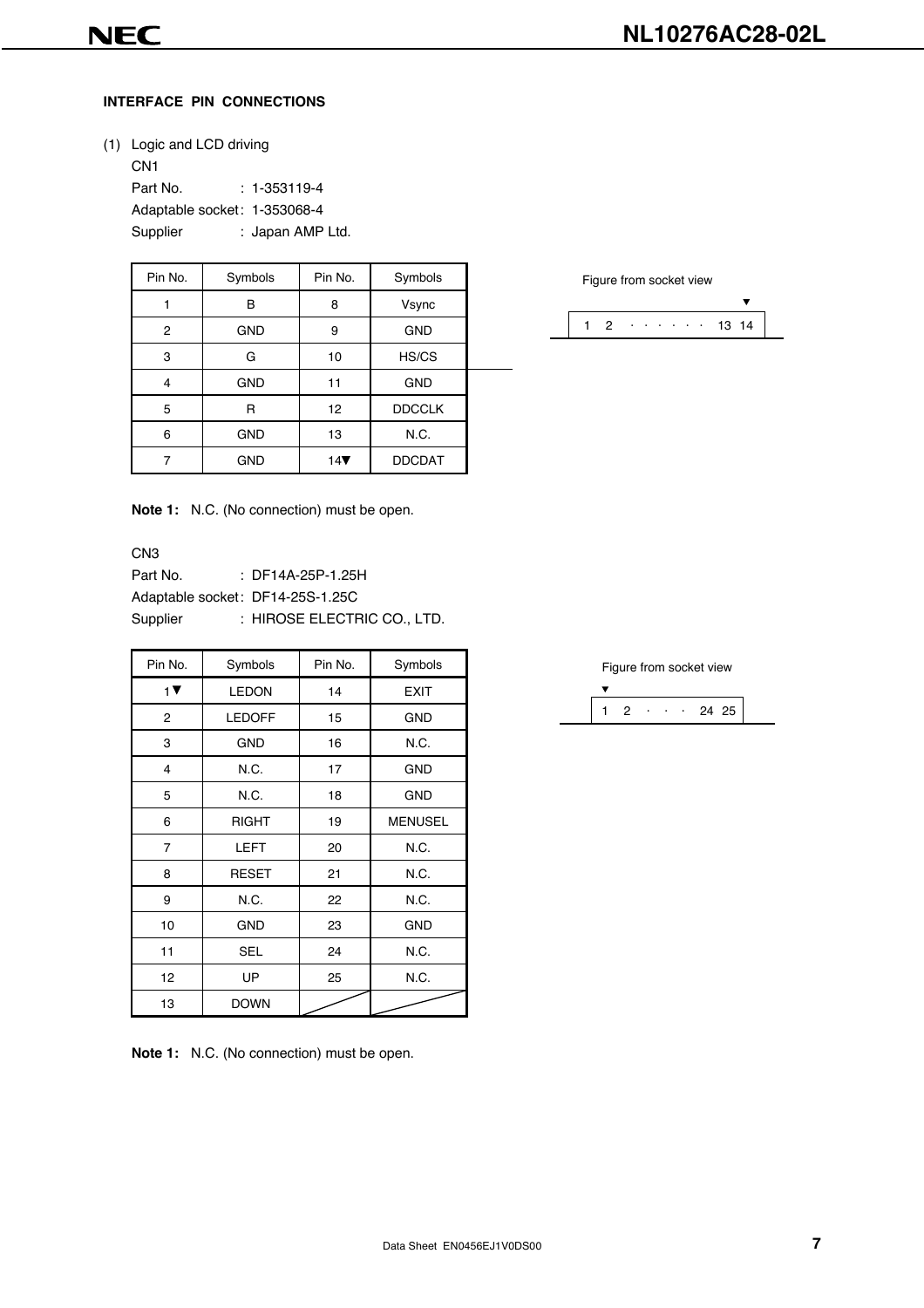#### **INTERFACE PIN CONNECTIONS**

(1) Logic and LCD driving

CN1 Part No. : 1-353119-4 Adaptable socket: 1-353068-4 Supplier : Japan AMP Ltd.

| Pin No. | Symbols    | Pin No. | Symbols       |  |
|---------|------------|---------|---------------|--|
|         | в          | 8       | Vsync         |  |
| 2       | <b>GND</b> | 9       | <b>GND</b>    |  |
| 3       | G          | 10      | HS/CS         |  |
| 4       | <b>GND</b> | 11      | <b>GND</b>    |  |
| 5       | R          | 12      | <b>DDCCLK</b> |  |
| 6       | <b>GND</b> | 13      | N.C.          |  |
|         | <b>GND</b> | 14      | <b>DDCDAT</b> |  |

**Note 1:** N.C. (No connection) must be open.

#### CN3

Part No. : DF14A-25P-1.25H Adaptable socket: DF14-25S-1.25C Supplier : HIROSE ELECTRIC CO., LTD.

| Pin No.                | Symbols       | Pin No. | Symbols        |
|------------------------|---------------|---------|----------------|
| 1 $\blacktriangledown$ | <b>LEDON</b>  | 14      | <b>EXIT</b>    |
| 2                      | <b>LEDOFF</b> | 15      | <b>GND</b>     |
| 3                      | <b>GND</b>    | 16      | N.C.           |
| $\overline{4}$         | N.C.          | 17      | <b>GND</b>     |
| 5                      | N.C.          | 18      | <b>GND</b>     |
| 6                      | <b>RIGHT</b>  | 19      | <b>MENUSEL</b> |
| $\overline{7}$         | <b>LEFT</b>   | 20      | N.C.           |
| 8                      | <b>RESET</b>  | 21      | N.C.           |
| 9                      | N.C.          | 22      | N.C.           |
| 10                     | <b>GND</b>    | 23      | <b>GND</b>     |
| 11                     | <b>SEL</b>    | 24      | N.C.           |
| 12                     | UP            | 25      | N.C.           |
| 13                     | <b>DOWN</b>   |         |                |

**Note 1:** N.C. (No connection) must be open.

Figure from socket view



|  |   |  | Figure from socket view |  |
|--|---|--|-------------------------|--|
|  |   |  |                         |  |
|  | ٠ |  | 24 25                   |  |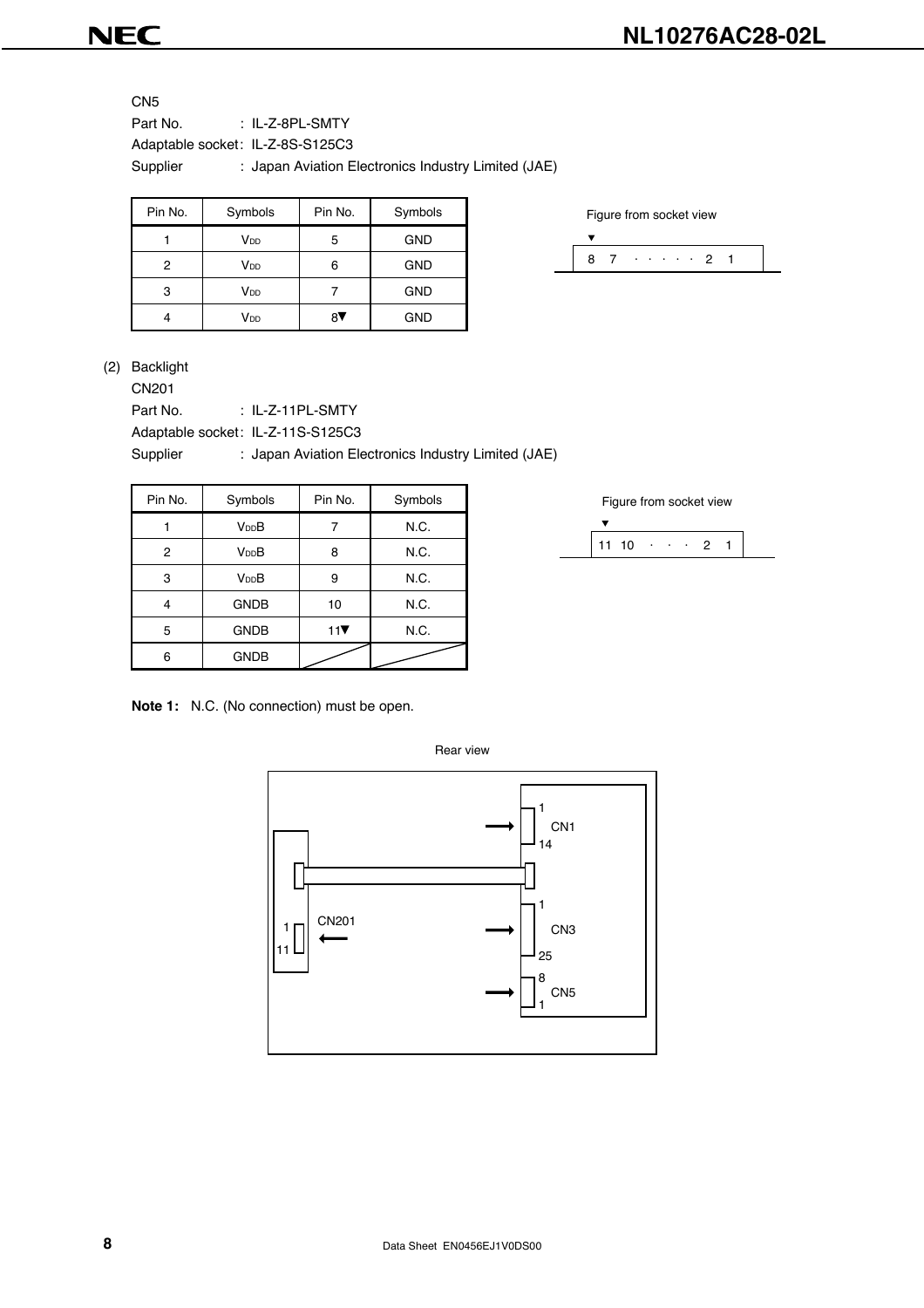### **NL10276AC28-02L**

**NEC** 

CN<sub>5</sub>

Part No. : IL-Z-8PL-SMTY Adaptable socket: IL-Z-8S-S125C3 Supplier : Japan Aviation Electronics Industry Limited (JAE)

| Pin No. | Symbols         | Pin No. | Symbols    |
|---------|-----------------|---------|------------|
|         | V <sub>DD</sub> | 5       | <b>GND</b> |
| 2       | V <sub>DD</sub> | ิค      | <b>GND</b> |
| 3       | V <sub>DD</sub> |         | <b>GND</b> |
|         | V <sub>DD</sub> |         | <b>GND</b> |

Figure from socket view



(2) Backlight

CN201

Part No. : IL-Z-11PL-SMTY

Adaptable socket: IL-Z-11S-S125C3

Supplier : Japan Aviation Electronics Industry Limited (JAE)

| Pin No. | Symbols           | Pin No. | Symbols |
|---------|-------------------|---------|---------|
|         | V <sub>DD</sub> B |         | N.C.    |
| 2       | V <sub>DD</sub> B | 8       | N.C.    |
| 3       | V <sub>DD</sub> B | 9       | N.C.    |
| 4       | <b>GNDB</b>       | 10      | N.C.    |
| 5       | <b>GNDB</b>       | 11      | N.C.    |
| 6       | <b>GNDB</b>       |         |         |

**Note 1:** N.C. (No connection) must be open.

11 10  $\cdot \cdot \cdot$  2 1 Figure from socket view

1 CN1 8 CN5 1 1 CN3 25 1 11 CN201 14 Rear view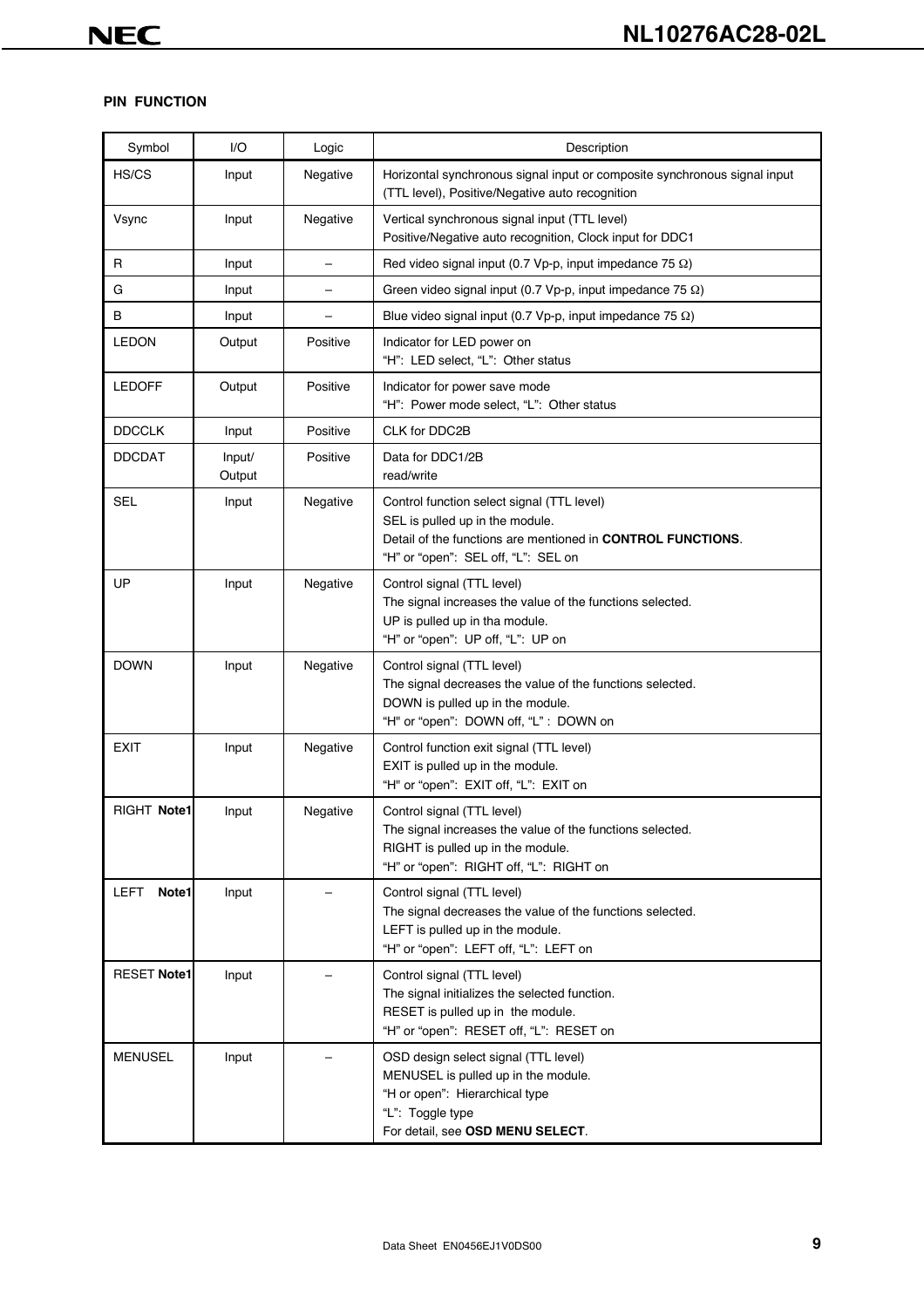#### **PIN FUNCTION**

| Symbol             | I/O              | Logic    | Description                                                                                                                                                                         |
|--------------------|------------------|----------|-------------------------------------------------------------------------------------------------------------------------------------------------------------------------------------|
| HS/CS              | Input            | Negative | Horizontal synchronous signal input or composite synchronous signal input<br>(TTL level), Positive/Negative auto recognition                                                        |
| Vsync              | Input            | Negative | Vertical synchronous signal input (TTL level)<br>Positive/Negative auto recognition, Clock input for DDC1                                                                           |
| R                  | Input            | -        | Red video signal input (0.7 Vp-p, input impedance 75 $\Omega$ )                                                                                                                     |
| G                  | Input            | $\equiv$ | Green video signal input (0.7 Vp-p, input impedance 75 $\Omega$ )                                                                                                                   |
| В                  | Input            |          | Blue video signal input (0.7 Vp-p, input impedance 75 $\Omega$ )                                                                                                                    |
| <b>LEDON</b>       | Output           | Positive | Indicator for LED power on<br>"H": LED select, "L": Other status                                                                                                                    |
| <b>LEDOFF</b>      | Output           | Positive | Indicator for power save mode<br>"H": Power mode select, "L": Other status                                                                                                          |
| <b>DDCCLK</b>      | Input            | Positive | CLK for DDC2B                                                                                                                                                                       |
| <b>DDCDAT</b>      | Input/<br>Output | Positive | Data for DDC1/2B<br>read/write                                                                                                                                                      |
| <b>SEL</b>         | Input            | Negative | Control function select signal (TTL level)<br>SEL is pulled up in the module.<br>Detail of the functions are mentioned in CONTROL FUNCTIONS.<br>"H" or "open": SEL off, "L": SEL on |
| UP                 | Input            | Negative | Control signal (TTL level)<br>The signal increases the value of the functions selected.<br>UP is pulled up in tha module.<br>"H" or "open": UP off, "L": UP on                      |
| <b>DOWN</b>        | Input            | Negative | Control signal (TTL level)<br>The signal decreases the value of the functions selected.<br>DOWN is pulled up in the module.<br>"H" or "open": DOWN off, "L": DOWN on                |
| <b>EXIT</b>        | Input            | Negative | Control function exit signal (TTL level)<br>EXIT is pulled up in the module.<br>"H" or "open": EXIT off, "L": EXIT on                                                               |
| RIGHT Note1        | Input            | Negative | Control signal (TTL level)<br>The signal increases the value of the functions selected.<br>RIGHT is pulled up in the module.<br>"H" or "open": RIGHT off, "L": RIGHT on             |
| LEFT<br>Note1      | Input            |          | Control signal (TTL level)<br>The signal decreases the value of the functions selected.<br>LEFT is pulled up in the module.<br>"H" or "open": LEFT off, "L": LEFT on                |
| <b>RESET Note1</b> | Input            |          | Control signal (TTL level)<br>The signal initializes the selected function.<br>RESET is pulled up in the module.<br>"H" or "open": RESET off, "L": RESET on                         |
| <b>MENUSEL</b>     | Input            |          | OSD design select signal (TTL level)<br>MENUSEL is pulled up in the module.<br>"H or open": Hierarchical type<br>"L": Toggle type<br>For detail, see OSD MENU SELECT.               |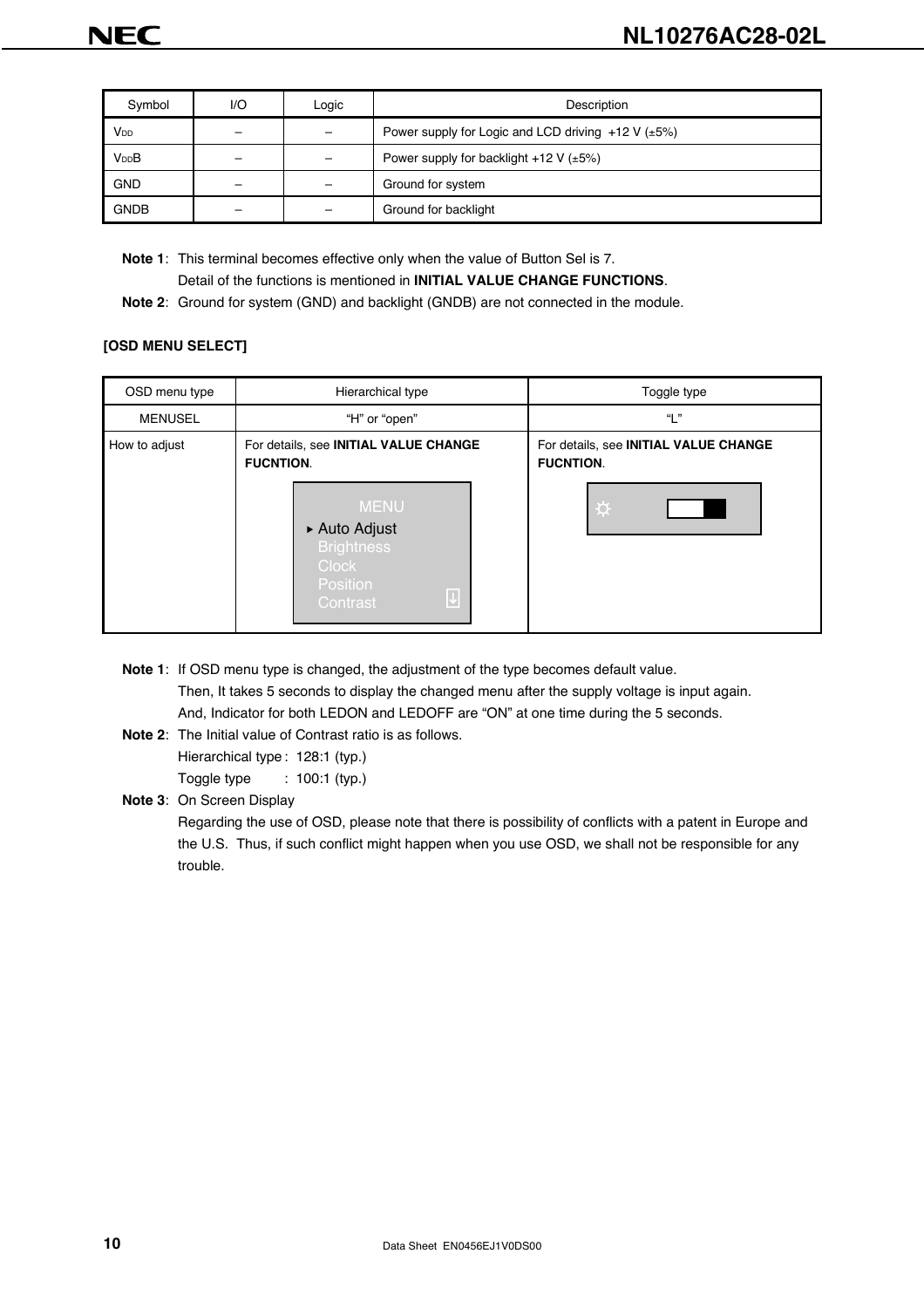| Symbol                 | 1/O | Logic | Description                                                  |
|------------------------|-----|-------|--------------------------------------------------------------|
| <b>V</b> <sub>DD</sub> |     |       | Power supply for Logic and LCD driving $+12$ V ( $\pm 5\%$ ) |
| V <sub>DD</sub> B      |     |       | Power supply for backlight +12 V $(\pm 5\%)$                 |
| <b>GND</b>             |     | -     | Ground for system                                            |
| <b>GNDB</b>            |     | -     | Ground for backlight                                         |

**Note 1**: This terminal becomes effective only when the value of Button Sel is 7. Detail of the functions is mentioned in **INITIAL VALUE CHANGE FUNCTIONS**.

**Note 2**: Ground for system (GND) and backlight (GNDB) are not connected in the module.

#### **[OSD MENU SELECT]**

| Hierarchical type                                                                                                                                                                        | Toggle type                                                    |  |  |  |  |
|------------------------------------------------------------------------------------------------------------------------------------------------------------------------------------------|----------------------------------------------------------------|--|--|--|--|
| "H" or "open"                                                                                                                                                                            | "  "                                                           |  |  |  |  |
| For details, see INITIAL VALUE CHANGE<br><b>FUCNTION.</b><br><b>MENU</b><br>▶ Auto Adjust<br><b>Brightness</b><br><b>Clock</b><br><b>Position</b><br>$\overline{\downarrow}$<br>Contrast | For details, see INITIAL VALUE CHANGE<br><b>FUCNTION.</b><br>☆ |  |  |  |  |
|                                                                                                                                                                                          |                                                                |  |  |  |  |

**Note 1**: If OSD menu type is changed, the adjustment of the type becomes default value.

Then, It takes 5 seconds to display the changed menu after the supply voltage is input again. And, Indicator for both LEDON and LEDOFF are "ON" at one time during the 5 seconds.

**Note 2**: The Initial value of Contrast ratio is as follows.

Hierarchical type : 128:1 (typ.) Toggle type : 100:1 (typ.)

**Note 3**: On Screen Display

Regarding the use of OSD, please note that there is possibility of conflicts with a patent in Europe and the U.S. Thus, if such conflict might happen when you use OSD, we shall not be responsible for any trouble.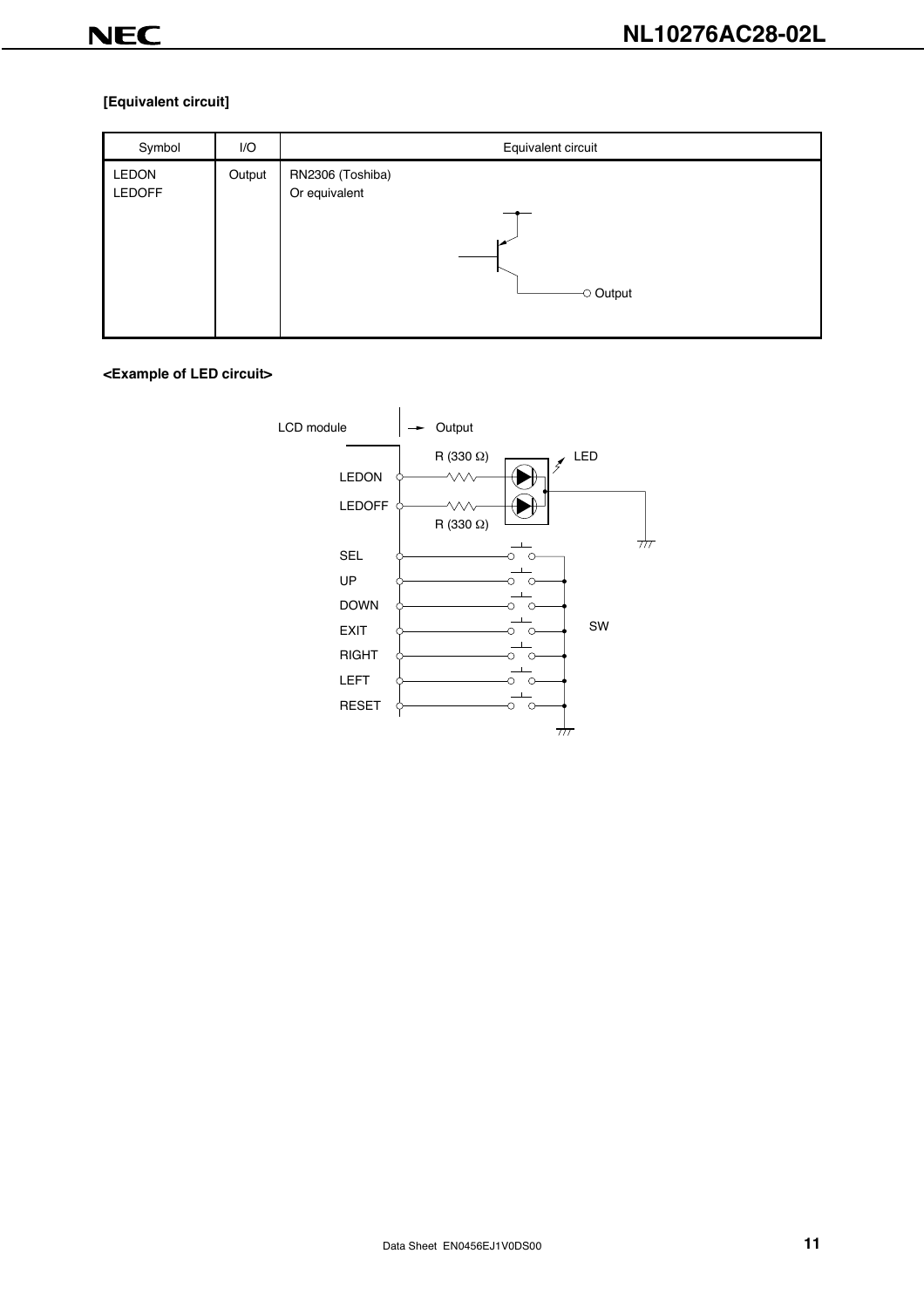#### **[Equivalent circuit]**

| Symbol                 | I/O    | Equivalent circuit                                  |
|------------------------|--------|-----------------------------------------------------|
| LEDON<br><b>LEDOFF</b> | Output | RN2306 (Toshiba)<br>Or equivalent<br>$\circ$ Output |
|                        |        |                                                     |

#### **<Example of LED circuit>**

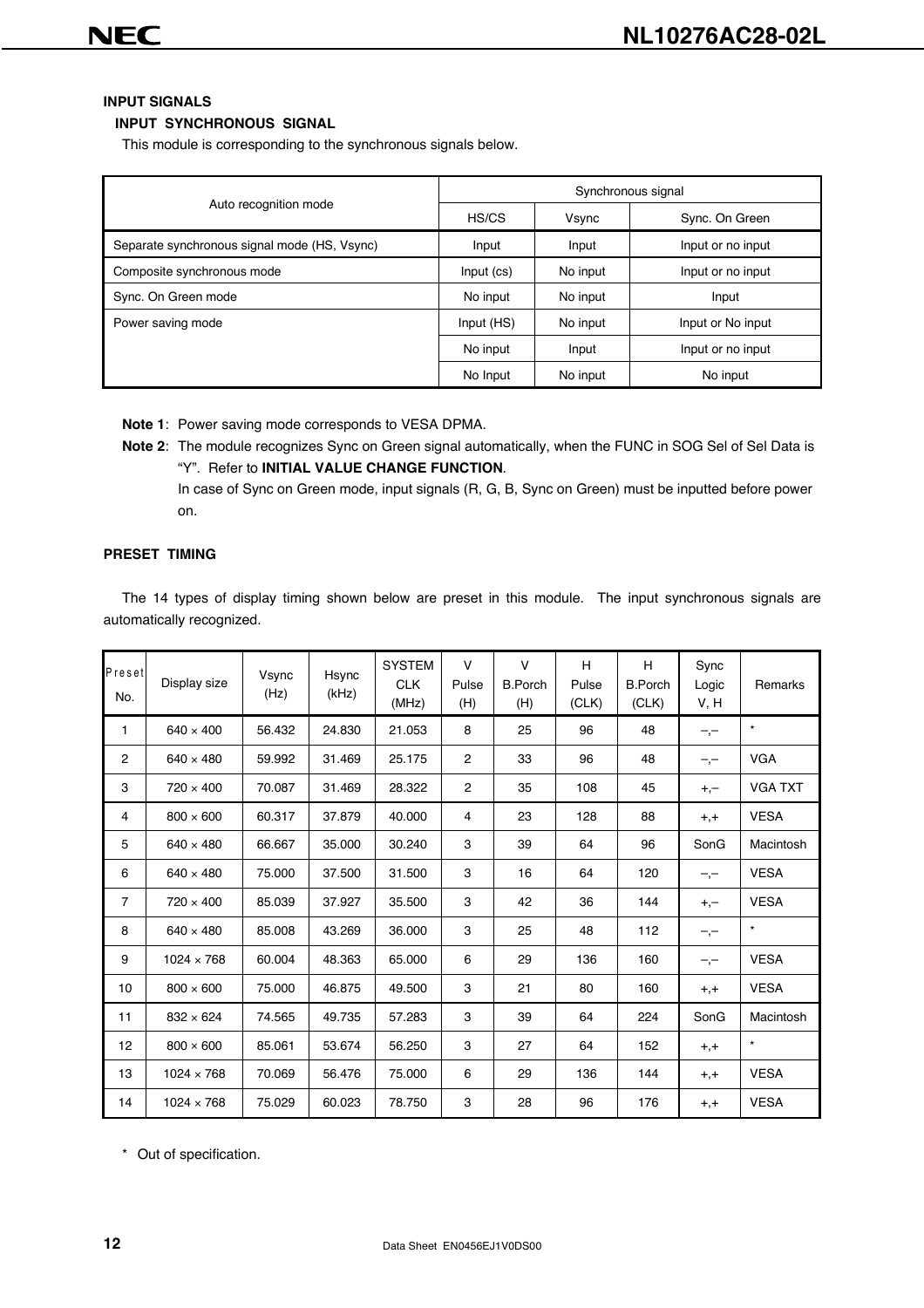#### **INPUT SIGNALS**

#### **INPUT SYNCHRONOUS SIGNAL**

This module is corresponding to the synchronous signals below.

| Auto recognition mode                        | HS/CS      | Vsync                                      | Sync. On Green    |
|----------------------------------------------|------------|--------------------------------------------|-------------------|
| Separate synchronous signal mode (HS, Vsync) | Input      | Input                                      | Input or no input |
| Composite synchronous mode                   | Input (cs) | No input                                   | Input or no input |
| Sync. On Green mode                          | No input   | No input                                   | Input             |
| Power saving mode                            | Input (HS) | No input                                   | Input or No input |
|                                              | No input   | Input                                      | Input or no input |
|                                              | No Input   | Synchronous signal<br>No input<br>No input |                   |

**Note 1**: Power saving mode corresponds to VESA DPMA.

**Note 2**: The module recognizes Sync on Green signal automatically, when the FUNC in SOG Sel of Sel Data is "Y". Refer to **INITIAL VALUE CHANGE FUNCTION**.

In case of Sync on Green mode, input signals (R, G, B, Sync on Green) must be inputted before power on.

#### **PRESET TIMING**

The 14 types of display timing shown below are preset in this module. The input synchronous signals are automatically recognized.

| Preset<br>No.  | Display size      | Vsync<br>(Hz) | Hsync<br>(kHz) | <b>SYSTEM</b><br><b>CLK</b><br>(MHz) | $\vee$<br>Pulse<br>(H) | $\mathsf{V}$<br><b>B.Porch</b><br>(H) | H<br>Pulse<br>(CLK) | H<br><b>B.Porch</b><br>(CLK) | Sync<br>Logic<br>V, H | Remarks        |
|----------------|-------------------|---------------|----------------|--------------------------------------|------------------------|---------------------------------------|---------------------|------------------------------|-----------------------|----------------|
| 1              | $640 \times 400$  | 56.432        | 24.830         | 21.053                               | 8                      | 25                                    | 96                  | 48                           | $-,-$                 | $\star$        |
| $\overline{2}$ | $640 \times 480$  | 59.992        | 31.469         | 25.175                               | $\overline{2}$         | 33                                    | 96                  | 48                           | $-,-$                 | <b>VGA</b>     |
| 3              | $720 \times 400$  | 70.087        | 31.469         | 28.322                               | $\overline{2}$         | 35                                    | 108                 | 45                           | $+,-$                 | <b>VGA TXT</b> |
| 4              | $800 \times 600$  | 60.317        | 37.879         | 40.000                               | $\overline{4}$         | 23                                    | 128                 | 88                           | $+,+$                 | <b>VESA</b>    |
| 5              | $640 \times 480$  | 66.667        | 35.000         | 30.240                               | 3                      | 39                                    | 64                  | 96                           | SonG                  | Macintosh      |
| 6              | $640 \times 480$  | 75.000        | 37.500         | 31.500                               | 3                      | 16                                    | 64                  | 120                          | $-,-$                 | <b>VESA</b>    |
| $\overline{7}$ | $720 \times 400$  | 85.039        | 37.927         | 35.500                               | 3                      | 42                                    | 36                  | 144                          | $+,-$                 | <b>VESA</b>    |
| 8              | $640 \times 480$  | 85.008        | 43.269         | 36.000                               | 3                      | 25                                    | 48                  | 112                          | $-,-$                 | $\star$        |
| 9              | $1024 \times 768$ | 60.004        | 48.363         | 65.000                               | 6                      | 29                                    | 136                 | 160                          | $-,-$                 | <b>VESA</b>    |
| 10             | $800 \times 600$  | 75.000        | 46.875         | 49.500                               | 3                      | 21                                    | 80                  | 160                          | $+,+$                 | <b>VESA</b>    |
| 11             | $832 \times 624$  | 74.565        | 49.735         | 57.283                               | 3                      | 39                                    | 64                  | 224                          | SonG                  | Macintosh      |
| 12             | $800 \times 600$  | 85.061        | 53.674         | 56.250                               | 3                      | 27                                    | 64                  | 152                          | $+,+$                 | $\star$        |
| 13             | $1024 \times 768$ | 70.069        | 56.476         | 75.000                               | 6                      | 29                                    | 136                 | 144                          | $+,+$                 | <b>VESA</b>    |
| 14             | $1024 \times 768$ | 75.029        | 60.023         | 78.750                               | 3                      | 28                                    | 96                  | 176                          | $+,+$                 | <b>VESA</b>    |

\* Out of specification.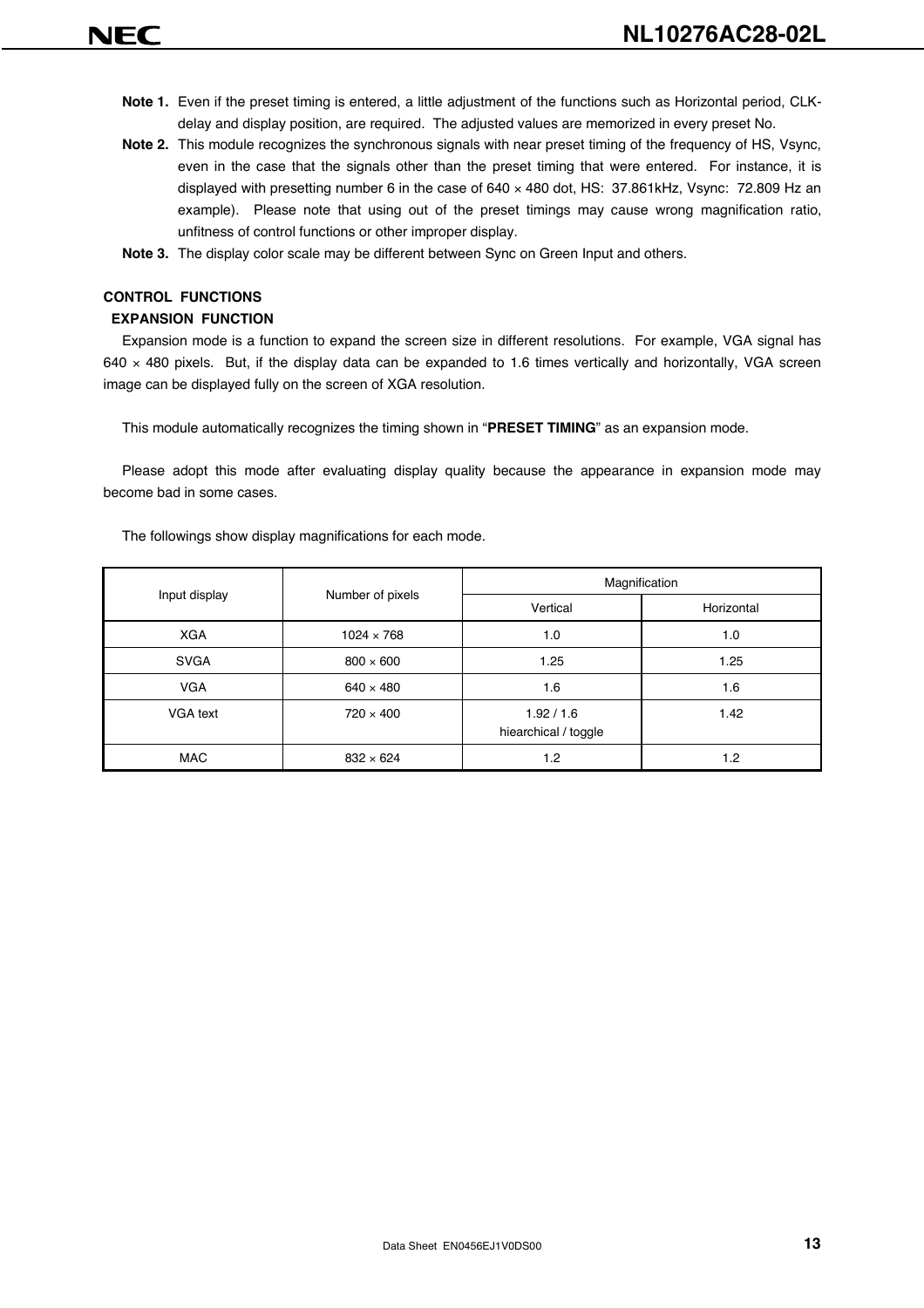- **Note 1.** Even if the preset timing is entered, a little adjustment of the functions such as Horizontal period, CLKdelay and display position, are required. The adjusted values are memorized in every preset No.
- **Note 2.** This module recognizes the synchronous signals with near preset timing of the frequency of HS, Vsync, even in the case that the signals other than the preset timing that were entered. For instance, it is displayed with presetting number 6 in the case of 640 × 480 dot, HS: 37.861kHz, Vsync: 72.809 Hz an example). Please note that using out of the preset timings may cause wrong magnification ratio, unfitness of control functions or other improper display.
- **Note 3.** The display color scale may be different between Sync on Green Input and others.

#### **CONTROL FUNCTIONS**

#### **EXPANSION FUNCTION**

Expansion mode is a function to expand the screen size in different resolutions. For example, VGA signal has  $640 \times 480$  pixels. But, if the display data can be expanded to 1.6 times vertically and horizontally, VGA screen image can be displayed fully on the screen of XGA resolution.

This module automatically recognizes the timing shown in "**PRESET TIMING**" as an expansion mode.

Please adopt this mode after evaluating display quality because the appearance in expansion mode may become bad in some cases.

|               |                   | Magnification                    |            |  |  |  |
|---------------|-------------------|----------------------------------|------------|--|--|--|
| Input display | Number of pixels  | Vertical                         | Horizontal |  |  |  |
| <b>XGA</b>    | $1024 \times 768$ | 1.0                              | 1.0        |  |  |  |
| <b>SVGA</b>   | $800 \times 600$  | 1.25                             | 1.25       |  |  |  |
| <b>VGA</b>    | $640 \times 480$  | 1.6                              | 1.6        |  |  |  |
| VGA text      | $720 \times 400$  | 1.92/1.6<br>hiearchical / toggle | 1.42       |  |  |  |
| MAC           | $832 \times 624$  | 1.2                              | 1.2        |  |  |  |

The followings show display magnifications for each mode.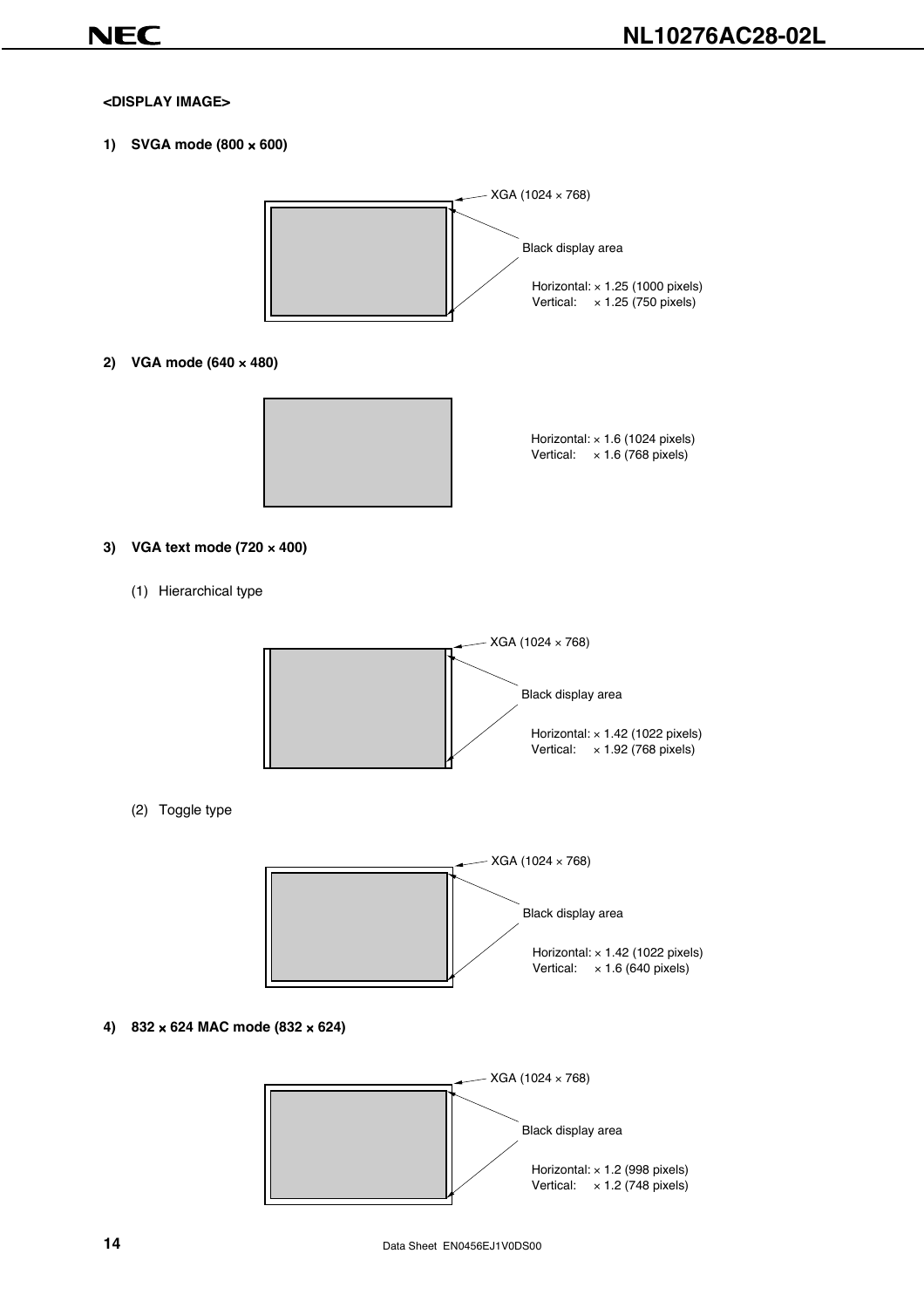#### **<DISPLAY IMAGE>**

**1) SVGA mode (800** × **600)**



**2) VGA mode (640** × **480)**



Horizontal: × 1.6 (1024 pixels) Vertical: × 1.6 (768 pixels)

#### **3) VGA text mode (720** × **400)**

(1) Hierarchical type



(2) Toggle type



**4) 832** × **624 MAC mode (832** × **624)**

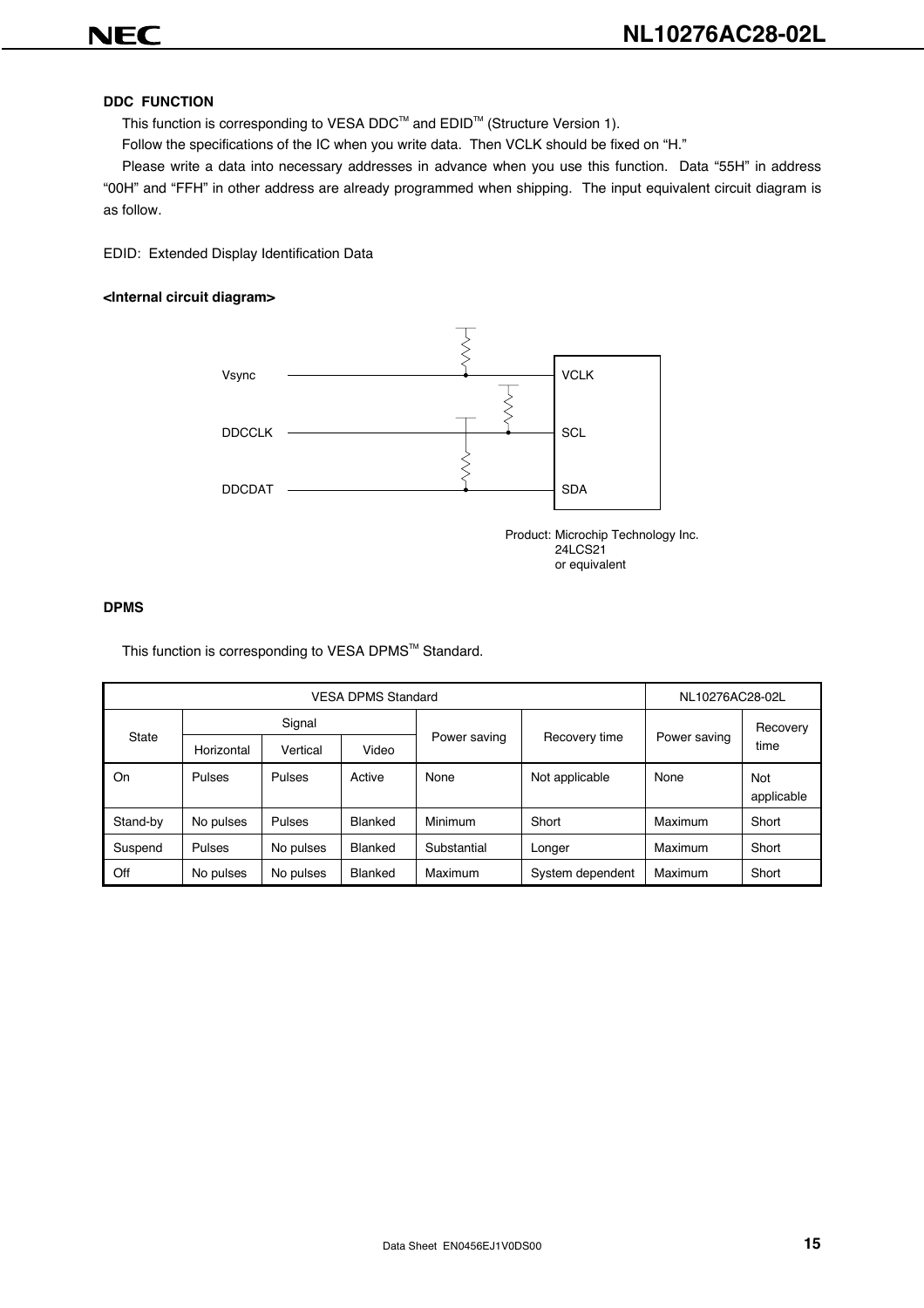#### **DDC FUNCTION**

This function is corresponding to VESA DDC<sup>™</sup> and EDID<sup>™</sup> (Structure Version 1).

Follow the specifications of the IC when you write data. Then VCLK should be fixed on "H."

Please write a data into necessary addresses in advance when you use this function. Data "55H" in address "00H" and "FFH" in other address are already programmed when shipping. The input equivalent circuit diagram is as follow.

EDID: Extended Display Identification Data

#### **<Internal circuit diagram>**



Product: Microchip Technology Inc. 24LCS21 or equivalent

#### **DPMS**

This function is corresponding to VESA DPMS™ Standard.

|          |            | NL10276AC28-02L |                |                                               |                  |         |                   |
|----------|------------|-----------------|----------------|-----------------------------------------------|------------------|---------|-------------------|
|          | Signal     |                 |                |                                               |                  |         | Recovery          |
| State    | Horizontal | Vertical        | Video          | Power saving<br>Recovery time<br>Power saving | time             |         |                   |
| On       | Pulses     | Pulses          | Active         | None                                          | Not applicable   | None    | Not<br>applicable |
| Stand-by | No pulses  | Pulses          | Blanked        | Minimum                                       | Short            | Maximum | Short             |
| Suspend  | Pulses     | No pulses       | Blanked        | Substantial                                   | Longer           | Maximum | Short             |
| Off      | No pulses  | No pulses       | <b>Blanked</b> | Maximum                                       | System dependent | Maximum | Short             |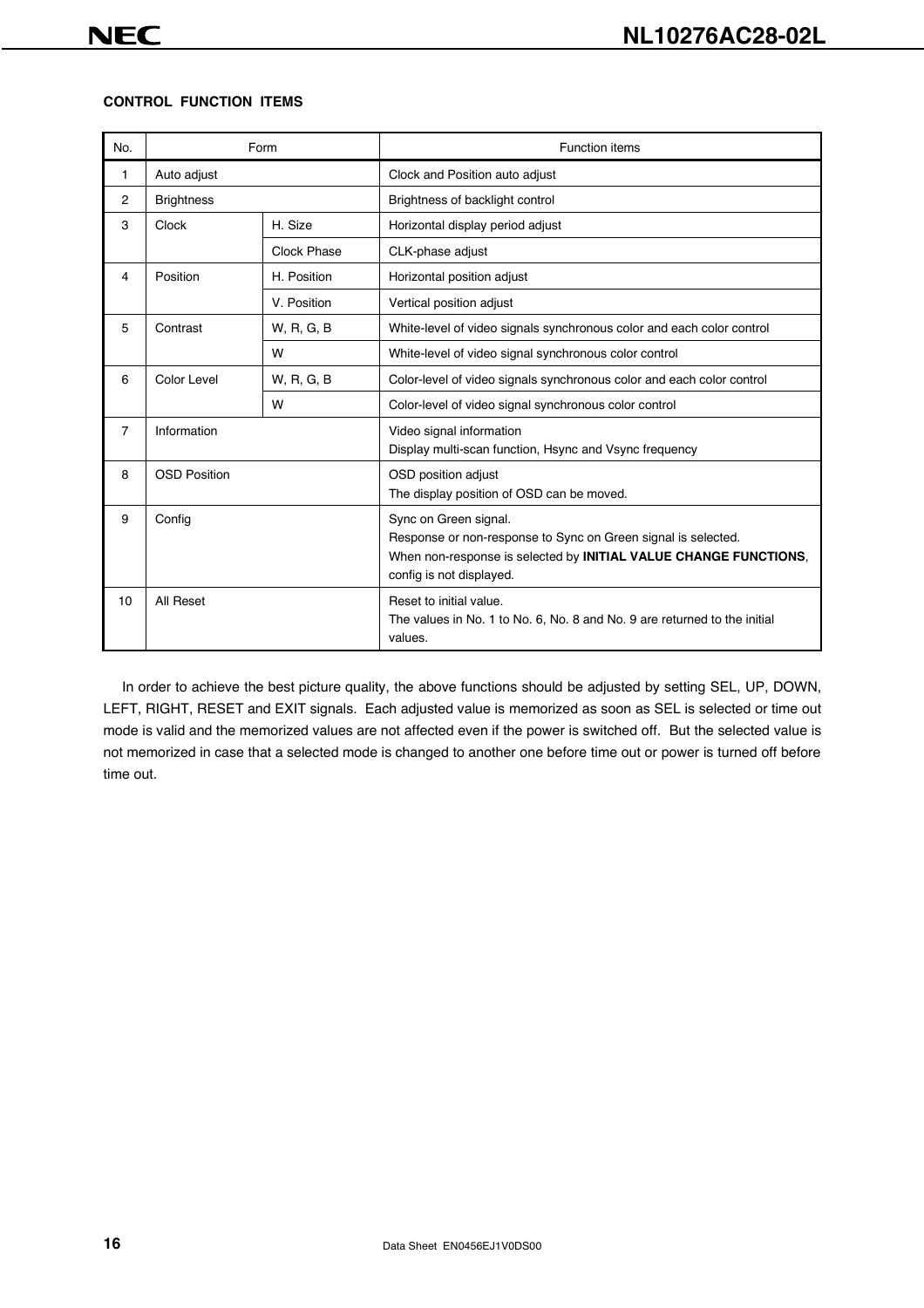#### **CONTROL FUNCTION ITEMS**

| No.            |                           | Form        | <b>Function items</b>                                                                                                                                                                  |  |  |  |  |
|----------------|---------------------------|-------------|----------------------------------------------------------------------------------------------------------------------------------------------------------------------------------------|--|--|--|--|
| 1              | Auto adjust               |             | Clock and Position auto adjust                                                                                                                                                         |  |  |  |  |
| 2              | <b>Brightness</b>         |             | Brightness of backlight control                                                                                                                                                        |  |  |  |  |
| 3              | <b>Clock</b>              | H. Size     | Horizontal display period adjust                                                                                                                                                       |  |  |  |  |
|                |                           | Clock Phase | CLK-phase adjust                                                                                                                                                                       |  |  |  |  |
| 4              | Position                  | H. Position | Horizontal position adjust                                                                                                                                                             |  |  |  |  |
|                |                           | V. Position | Vertical position adjust                                                                                                                                                               |  |  |  |  |
| 5              | Contrast                  | W, R, G, B  | White-level of video signals synchronous color and each color control                                                                                                                  |  |  |  |  |
|                |                           | W           | White-level of video signal synchronous color control                                                                                                                                  |  |  |  |  |
| 6              | Color Level<br>W, R, G, B |             | Color-level of video signals synchronous color and each color control                                                                                                                  |  |  |  |  |
|                |                           | W           | Color-level of video signal synchronous color control                                                                                                                                  |  |  |  |  |
| $\overline{7}$ | Information               |             | Video signal information<br>Display multi-scan function, Hsync and Vsync frequency                                                                                                     |  |  |  |  |
| 8              | <b>OSD Position</b>       |             | OSD position adjust<br>The display position of OSD can be moved.                                                                                                                       |  |  |  |  |
| 9              | Config                    |             | Sync on Green signal.<br>Response or non-response to Sync on Green signal is selected.<br>When non-response is selected by INITIAL VALUE CHANGE FUNCTIONS,<br>config is not displayed. |  |  |  |  |
| 10             | All Reset                 |             | Reset to initial value.<br>The values in No. 1 to No. 6, No. 8 and No. 9 are returned to the initial<br>values.                                                                        |  |  |  |  |

In order to achieve the best picture quality, the above functions should be adjusted by setting SEL, UP, DOWN, LEFT, RIGHT, RESET and EXIT signals. Each adjusted value is memorized as soon as SEL is selected or time out mode is valid and the memorized values are not affected even if the power is switched off. But the selected value is not memorized in case that a selected mode is changed to another one before time out or power is turned off before time out.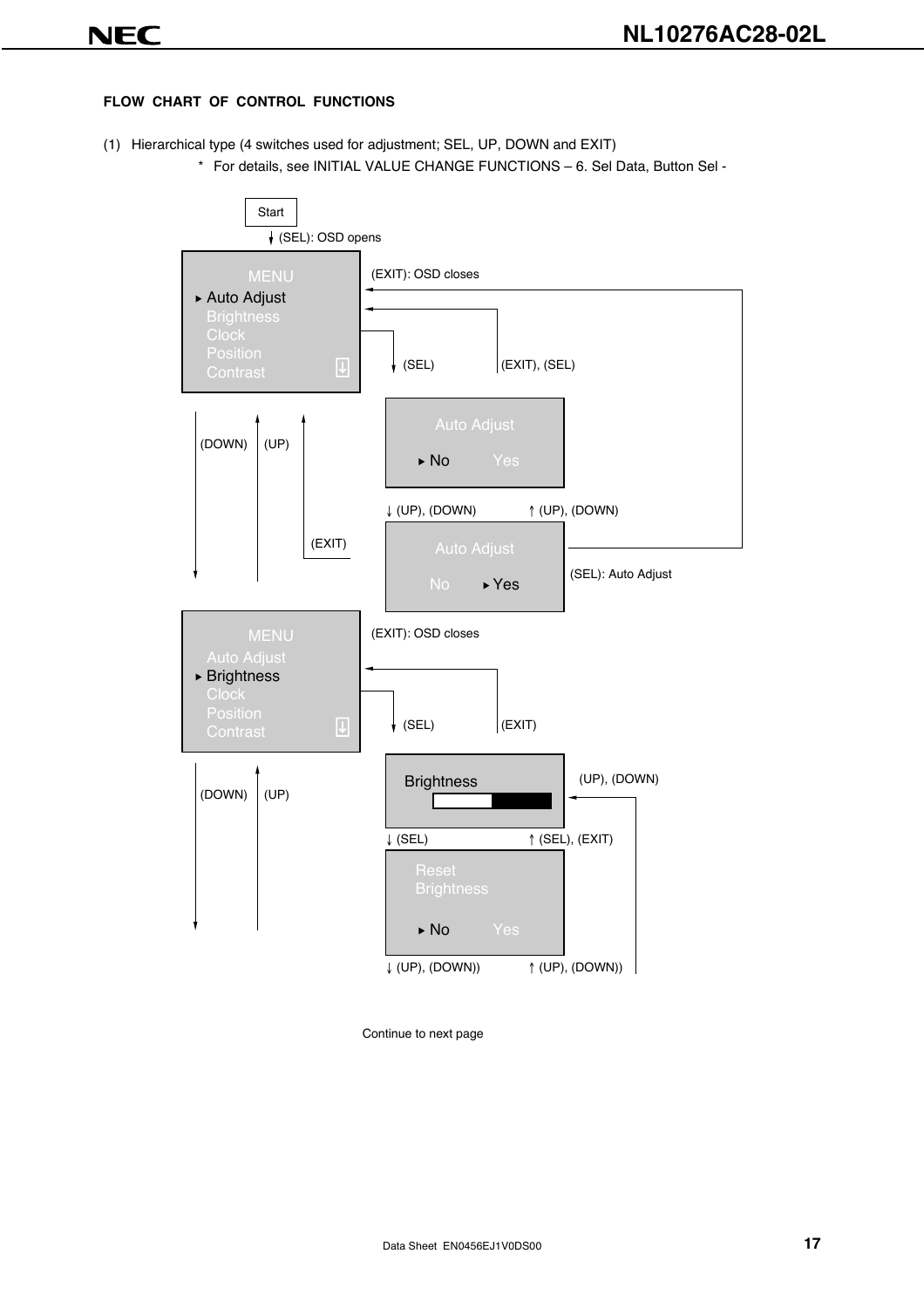#### **FLOW CHART OF CONTROL FUNCTIONS**

- (1) Hierarchical type (4 switches used for adjustment; SEL, UP, DOWN and EXIT)
	- \* For details, see INITIAL VALUE CHANGE FUNCTIONS 6. Sel Data, Button Sel -

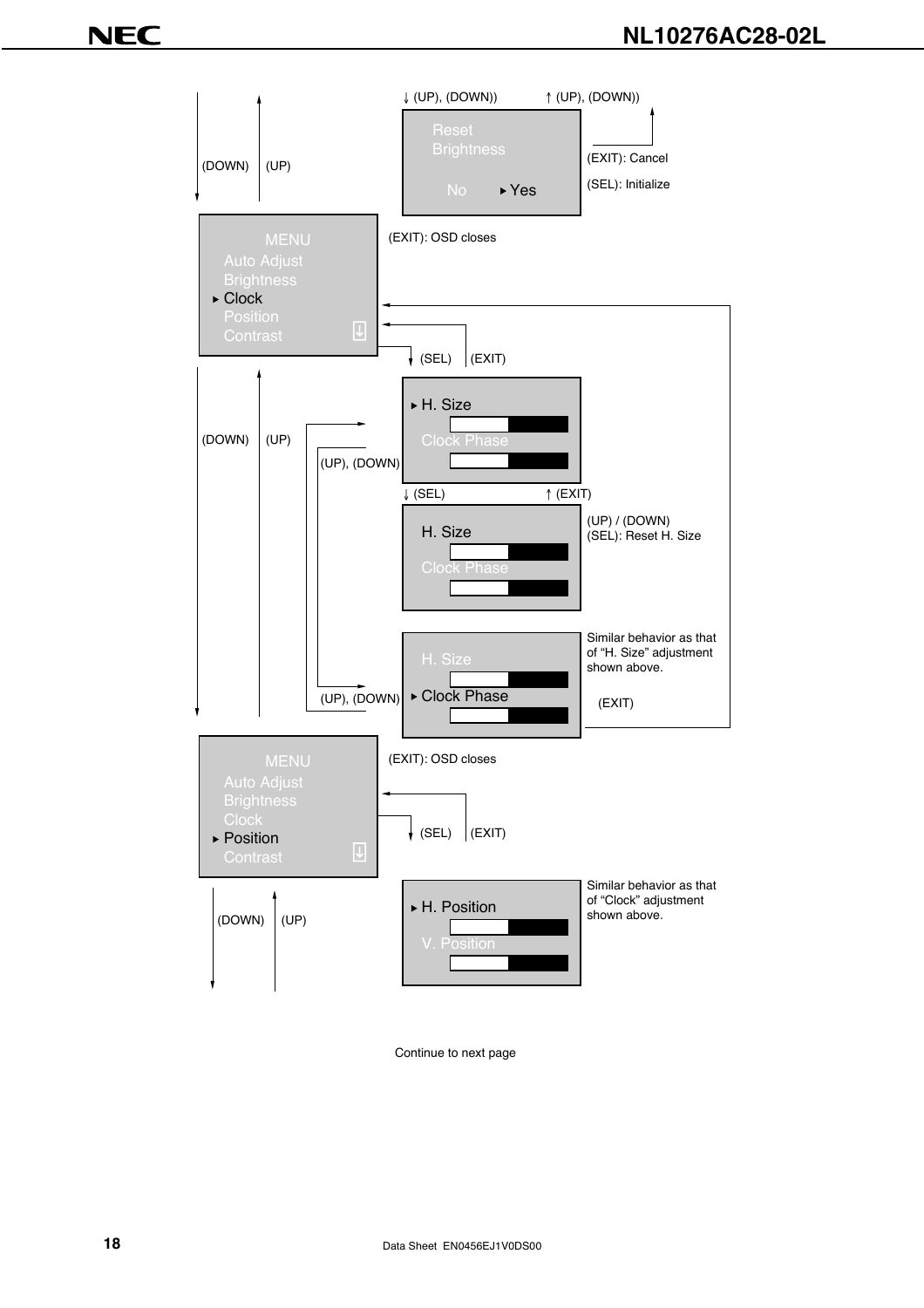### **NL10276AC28-02L**

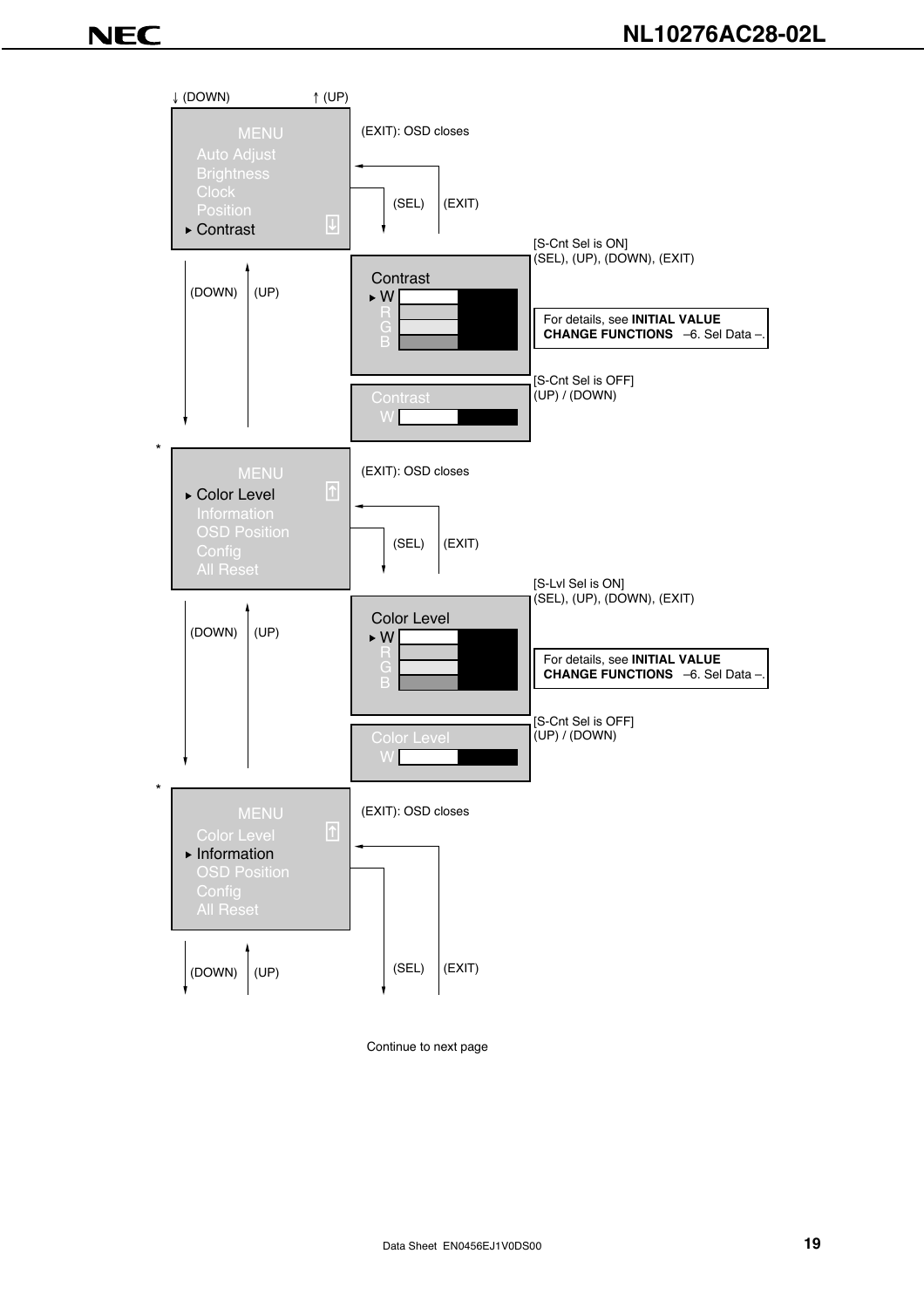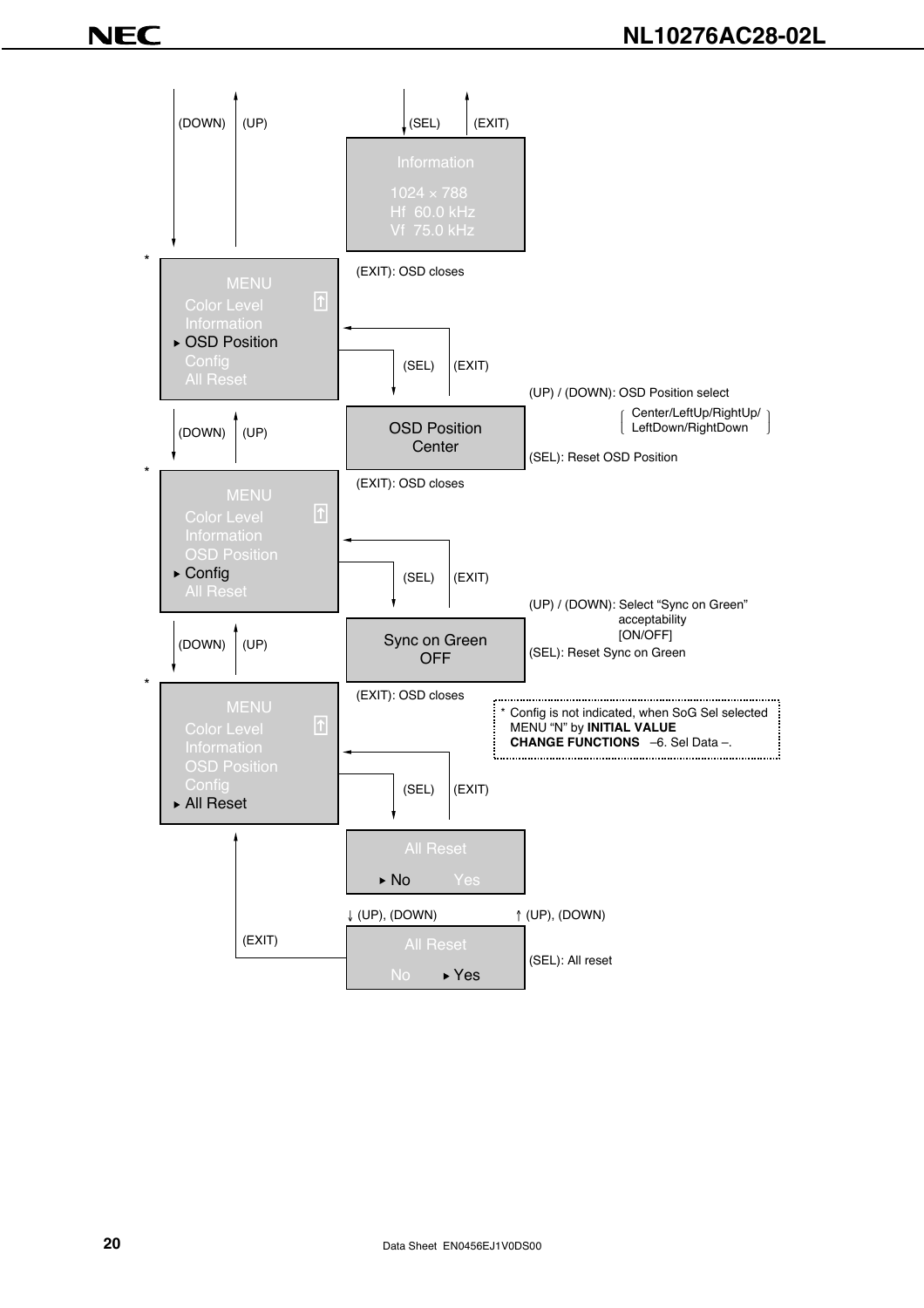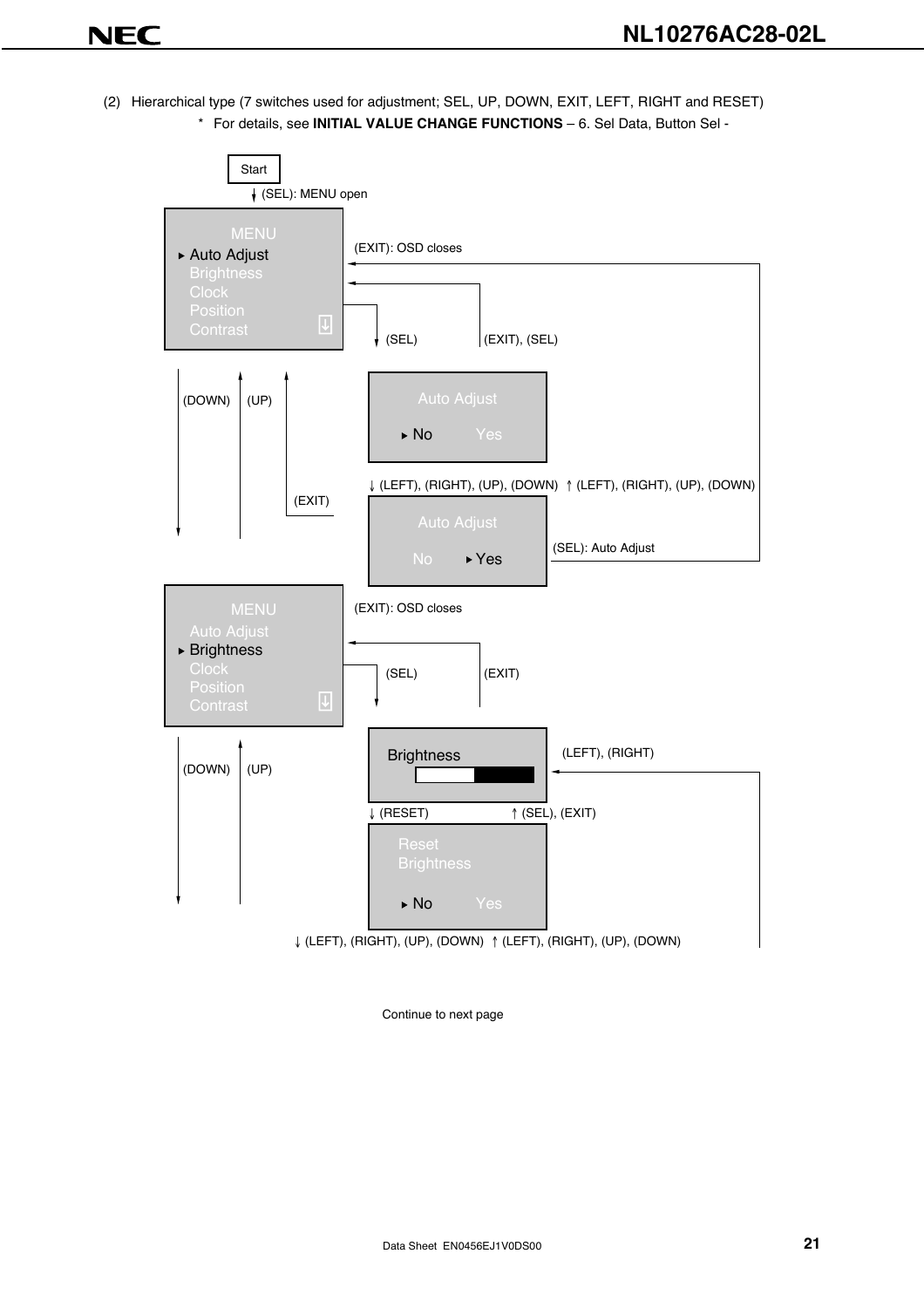(2) Hierarchical type (7 switches used for adjustment; SEL, UP, DOWN, EXIT, LEFT, RIGHT and RESET) \* For details, see **INITIAL VALUE CHANGE FUNCTIONS** – 6. Sel Data, Button Sel -

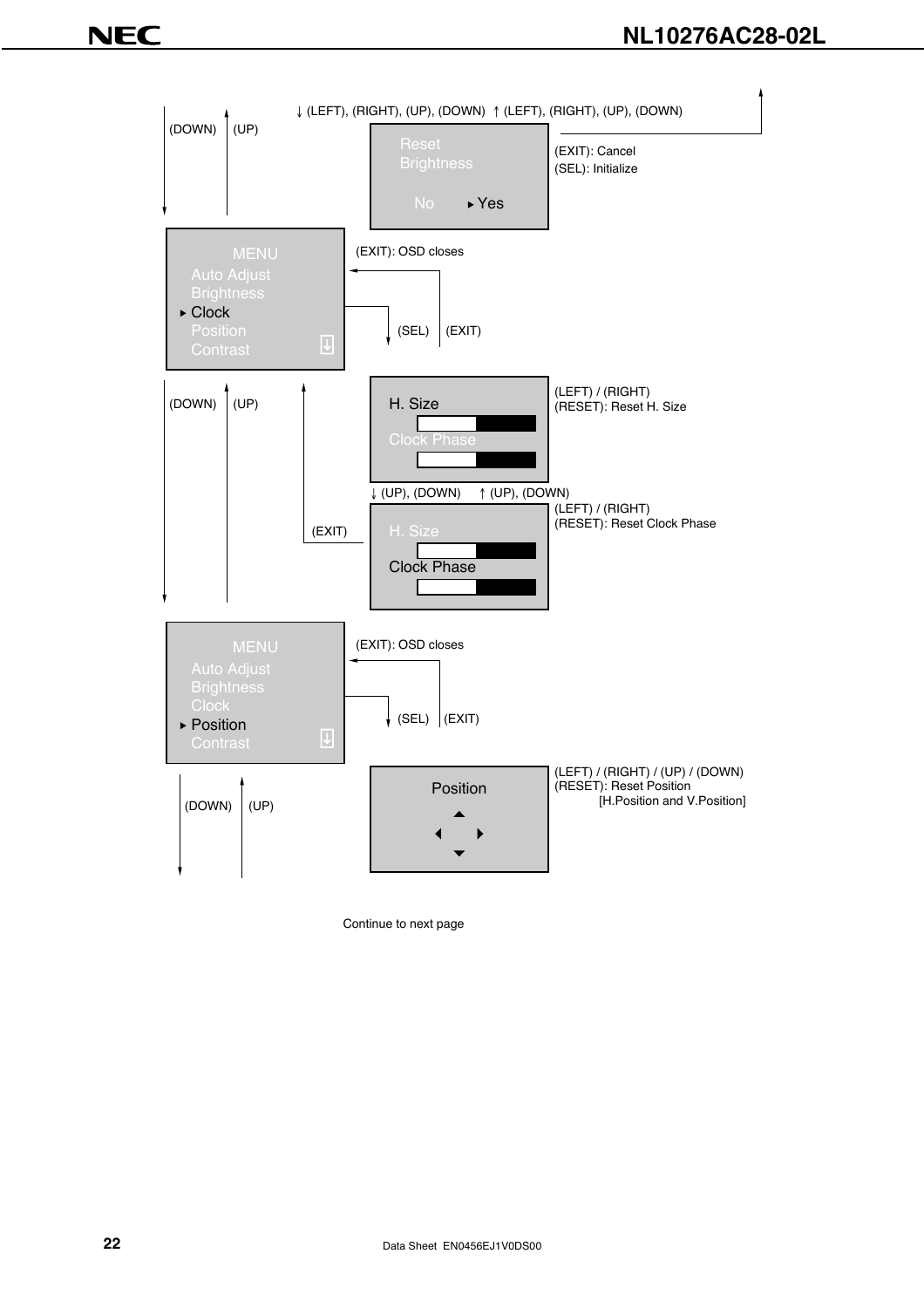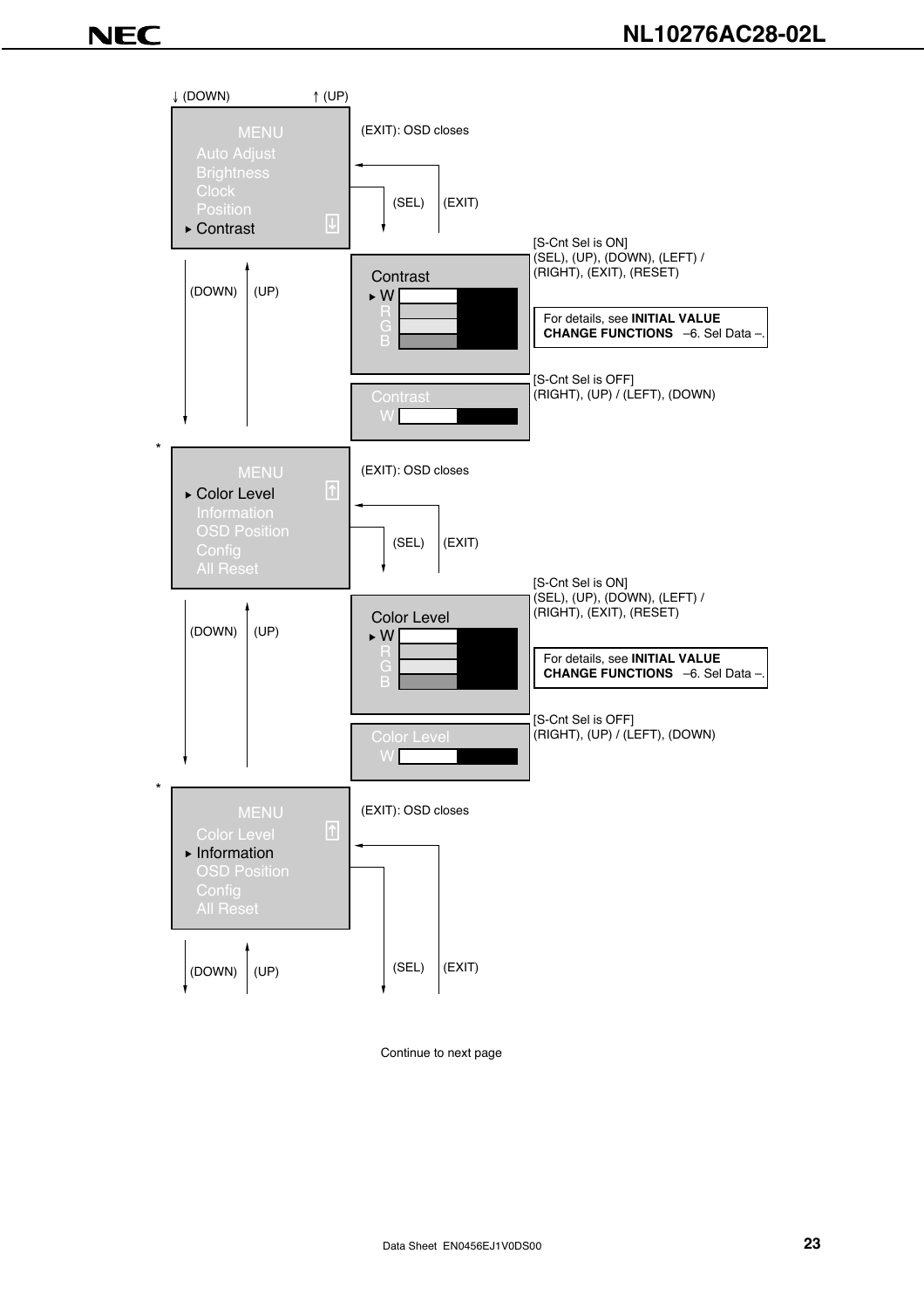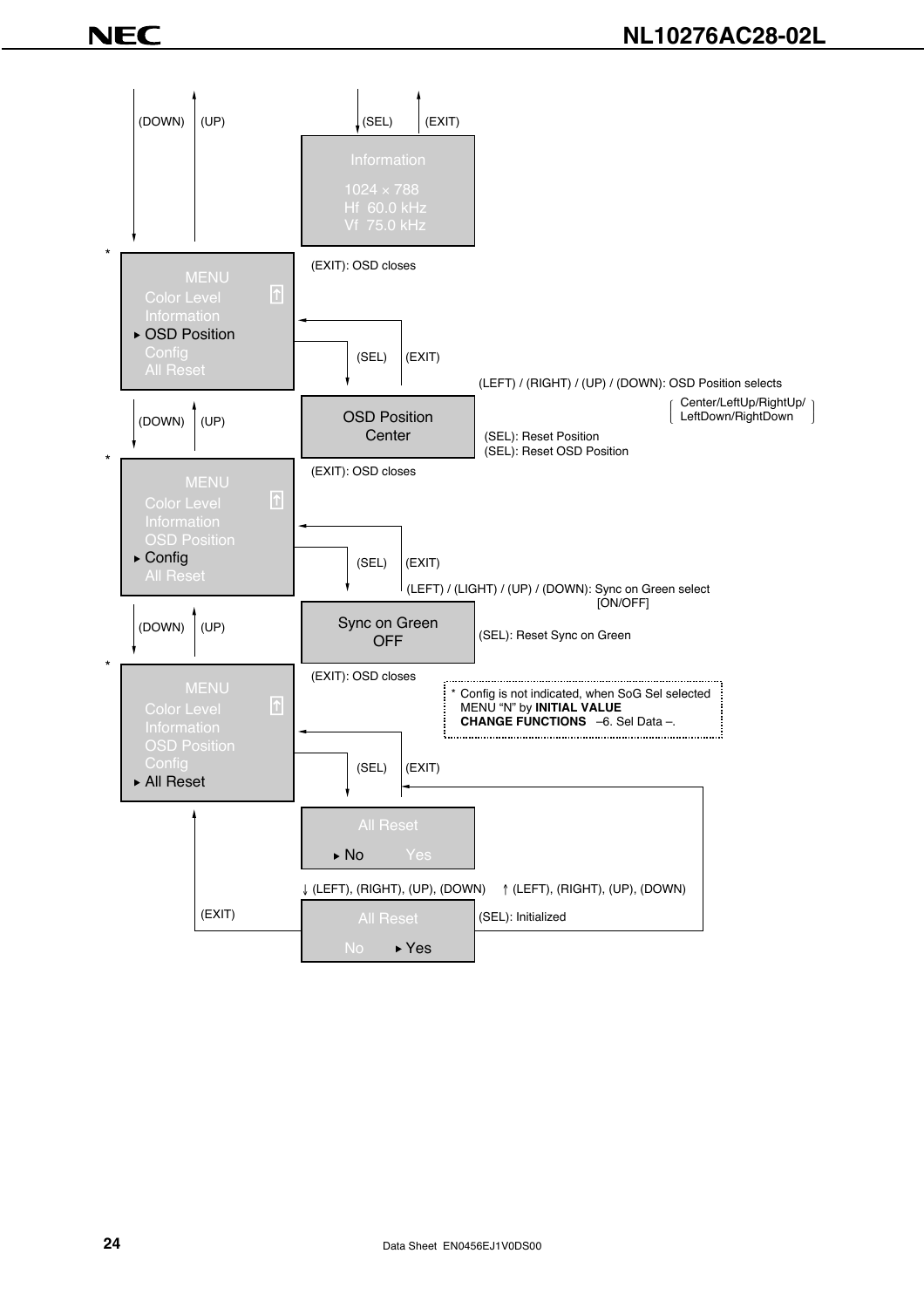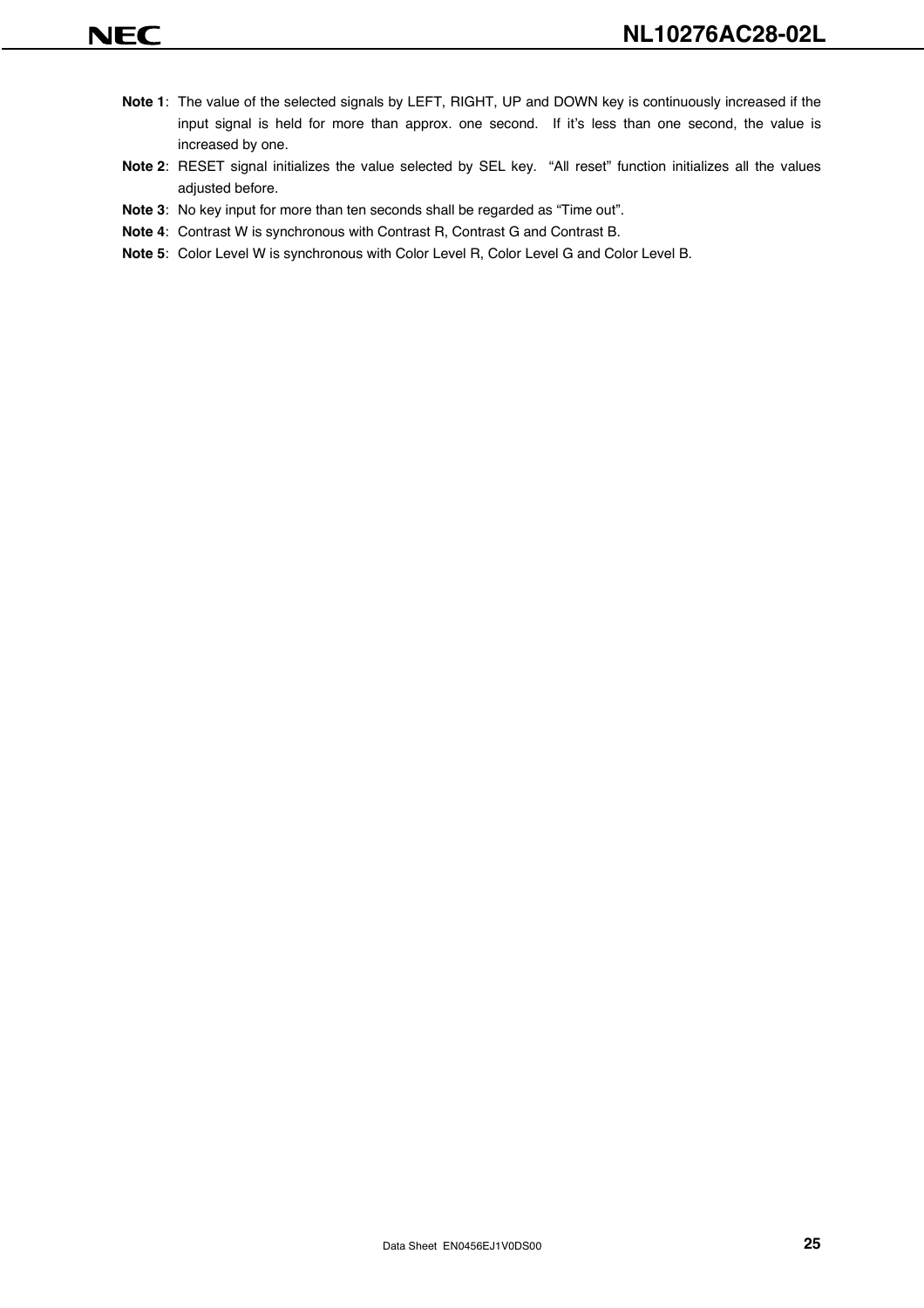- **Note 1**: The value of the selected signals by LEFT, RIGHT, UP and DOWN key is continuously increased if the input signal is held for more than approx. one second. If it's less than one second, the value is increased by one.
- **Note 2**: RESET signal initializes the value selected by SEL key. "All reset" function initializes all the values adjusted before.
- **Note 3**: No key input for more than ten seconds shall be regarded as "Time out".
- **Note 4**: Contrast W is synchronous with Contrast R, Contrast G and Contrast B.
- **Note 5**: Color Level W is synchronous with Color Level R, Color Level G and Color Level B.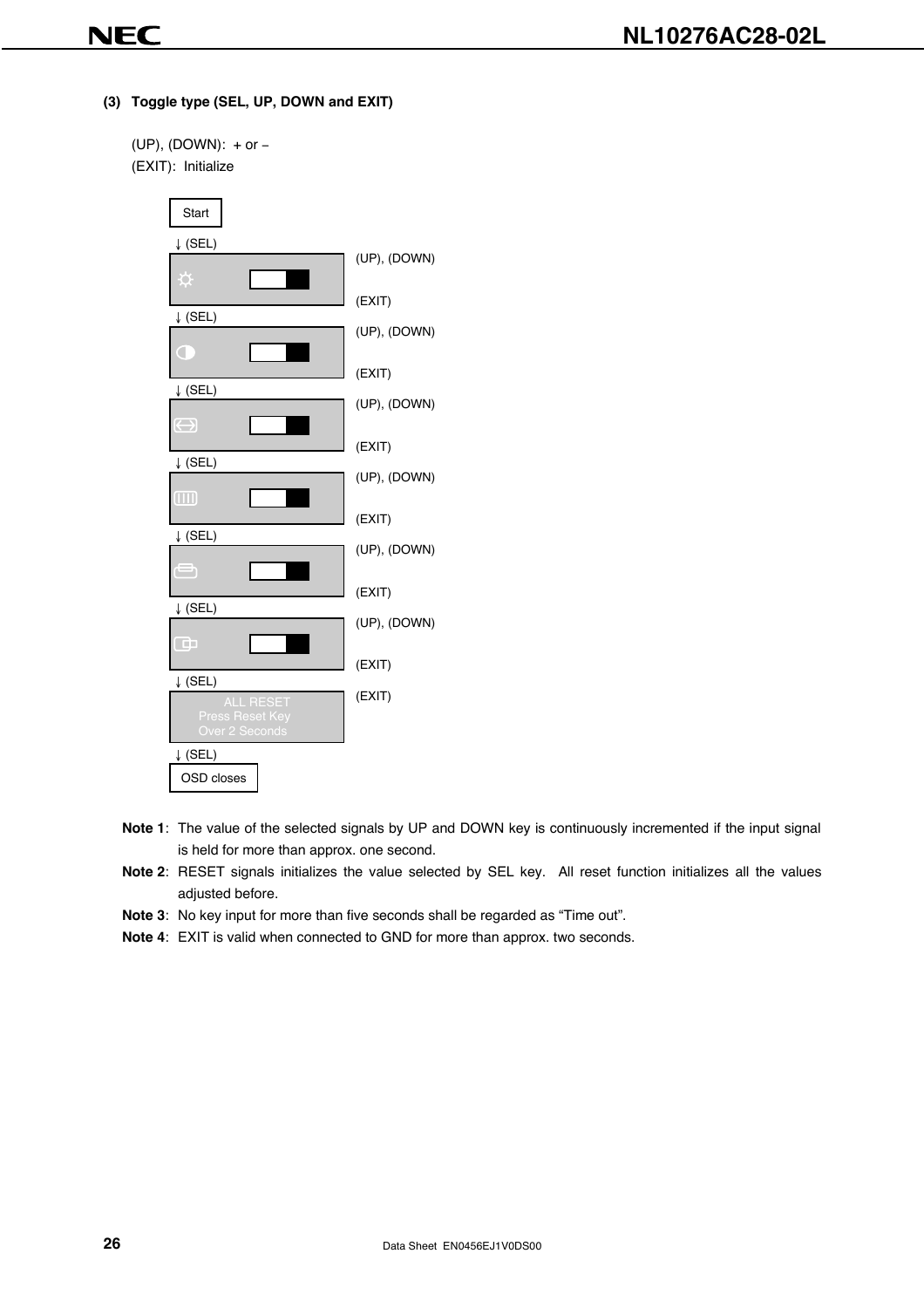**(3) Toggle type (SEL, UP, DOWN and EXIT)**

```
(UP), (DOWN): + or −
(EXIT): Initialize
```


- **Note 1**: The value of the selected signals by UP and DOWN key is continuously incremented if the input signal is held for more than approx. one second.
- **Note 2**: RESET signals initializes the value selected by SEL key. All reset function initializes all the values adjusted before.
- **Note 3**: No key input for more than five seconds shall be regarded as "Time out".
- **Note 4**: EXIT is valid when connected to GND for more than approx. two seconds.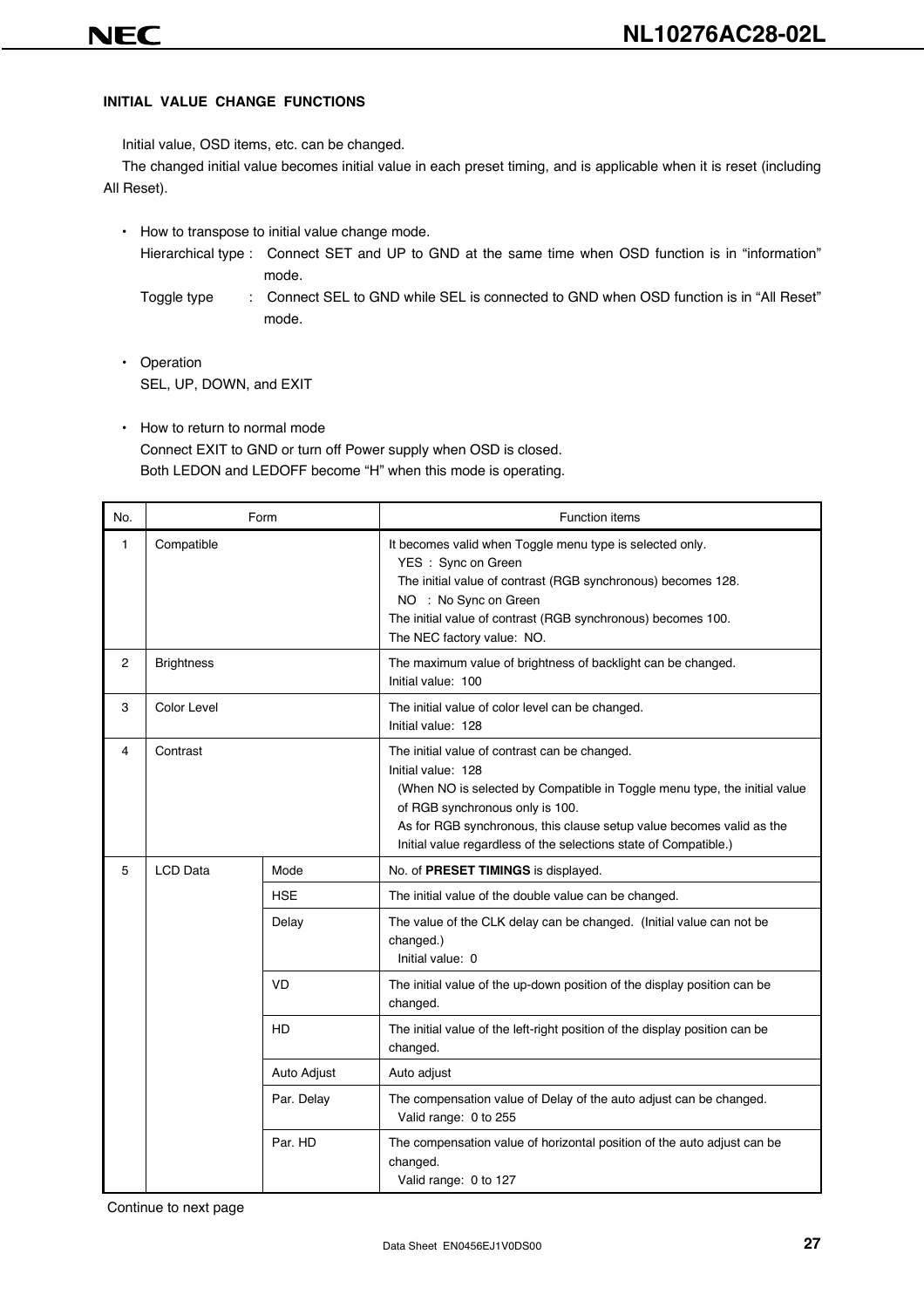#### **INITIAL VALUE CHANGE FUNCTIONS**

Initial value, OSD items, etc. can be changed.

The changed initial value becomes initial value in each preset timing, and is applicable when it is reset (including All Reset).

• How to transpose to initial value change mode.

Hierarchical type : Connect SET and UP to GND at the same time when OSD function is in "information" mode.

- Toggle type : Connect SEL to GND while SEL is connected to GND when OSD function is in "All Reset" mode.
- Operation SEL, UP, DOWN, and EXIT
- How to return to normal mode Connect EXIT to GND or turn off Power supply when OSD is closed. Both LEDON and LEDOFF become "H" when this mode is operating.

| No. |                                                                                         | Form        | <b>Function items</b>                                                                                                                                                                                                                                                                                                           |
|-----|-----------------------------------------------------------------------------------------|-------------|---------------------------------------------------------------------------------------------------------------------------------------------------------------------------------------------------------------------------------------------------------------------------------------------------------------------------------|
| 1   | Compatible<br>YES: Sync on Green<br>NO : No Sync on Green<br>The NEC factory value: NO. |             | It becomes valid when Toggle menu type is selected only.<br>The initial value of contrast (RGB synchronous) becomes 128.<br>The initial value of contrast (RGB synchronous) becomes 100.                                                                                                                                        |
| 2   | <b>Brightness</b>                                                                       |             | The maximum value of brightness of backlight can be changed.<br>Initial value: 100                                                                                                                                                                                                                                              |
| 3   | Color Level                                                                             |             | The initial value of color level can be changed.<br>Initial value: 128                                                                                                                                                                                                                                                          |
| 4   | Contrast                                                                                |             | The initial value of contrast can be changed.<br>Initial value: 128<br>(When NO is selected by Compatible in Toggle menu type, the initial value<br>of RGB synchronous only is 100.<br>As for RGB synchronous, this clause setup value becomes valid as the<br>Initial value regardless of the selections state of Compatible.) |
| 5   | <b>LCD Data</b>                                                                         | Mode        | No. of PRESET TIMINGS is displayed.                                                                                                                                                                                                                                                                                             |
|     |                                                                                         | <b>HSE</b>  | The initial value of the double value can be changed.                                                                                                                                                                                                                                                                           |
|     |                                                                                         | Delay       | The value of the CLK delay can be changed. (Initial value can not be<br>changed.)<br>Initial value: 0                                                                                                                                                                                                                           |
|     |                                                                                         | VD          | The initial value of the up-down position of the display position can be<br>changed.                                                                                                                                                                                                                                            |
|     |                                                                                         | HD          | The initial value of the left-right position of the display position can be<br>changed.                                                                                                                                                                                                                                         |
|     |                                                                                         | Auto Adjust | Auto adjust                                                                                                                                                                                                                                                                                                                     |
|     |                                                                                         | Par. Delay  | The compensation value of Delay of the auto adjust can be changed.<br>Valid range: 0 to 255                                                                                                                                                                                                                                     |
|     |                                                                                         | Par. HD     | The compensation value of horizontal position of the auto adjust can be<br>changed.<br>Valid range: 0 to 127                                                                                                                                                                                                                    |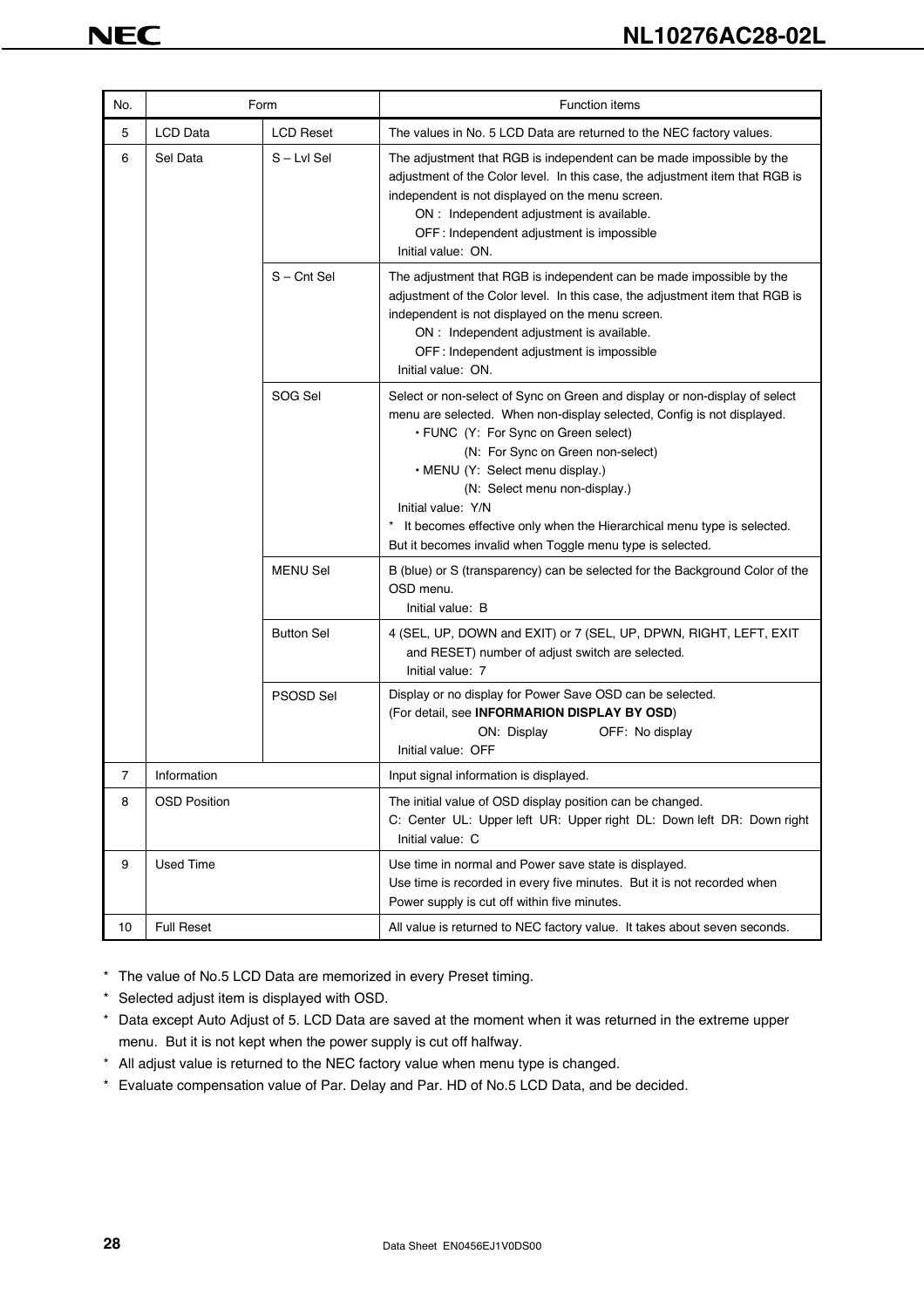| No. |                     | Form              | <b>Function items</b>                                                                                                                                                                                                                                                                                                                                                                                                                                                 |
|-----|---------------------|-------------------|-----------------------------------------------------------------------------------------------------------------------------------------------------------------------------------------------------------------------------------------------------------------------------------------------------------------------------------------------------------------------------------------------------------------------------------------------------------------------|
| 5   | LCD Data            | <b>LCD Reset</b>  | The values in No. 5 LCD Data are returned to the NEC factory values.                                                                                                                                                                                                                                                                                                                                                                                                  |
| 6   | Sel Data            | S-Lvl Sel         | The adjustment that RGB is independent can be made impossible by the<br>adjustment of the Color level. In this case, the adjustment item that RGB is<br>independent is not displayed on the menu screen.<br>ON : Independent adjustment is available.<br>OFF: Independent adjustment is impossible<br>Initial value: ON.                                                                                                                                              |
|     |                     | $S$ – Cnt Sel     | The adjustment that RGB is independent can be made impossible by the<br>adjustment of the Color level. In this case, the adjustment item that RGB is<br>independent is not displayed on the menu screen.<br>ON : Independent adjustment is available.<br>OFF: Independent adjustment is impossible<br>Initial value: ON.                                                                                                                                              |
|     |                     | SOG Sel           | Select or non-select of Sync on Green and display or non-display of select<br>menu are selected. When non-display selected, Config is not displayed.<br>• FUNC (Y: For Sync on Green select)<br>(N: For Sync on Green non-select)<br>• MENU (Y: Select menu display.)<br>(N: Select menu non-display.)<br>Initial value: Y/N<br>* It becomes effective only when the Hierarchical menu type is selected.<br>But it becomes invalid when Toggle menu type is selected. |
|     |                     | <b>MENU Sel</b>   | B (blue) or S (transparency) can be selected for the Background Color of the<br>OSD menu.<br>Initial value: B                                                                                                                                                                                                                                                                                                                                                         |
|     |                     | <b>Button Sel</b> | 4 (SEL, UP, DOWN and EXIT) or 7 (SEL, UP, DPWN, RIGHT, LEFT, EXIT<br>and RESET) number of adjust switch are selected.<br>Initial value: 7                                                                                                                                                                                                                                                                                                                             |
|     |                     | <b>PSOSD Sel</b>  | Display or no display for Power Save OSD can be selected.<br>(For detail, see INFORMARION DISPLAY BY OSD)<br>OFF: No display<br>ON: Display<br>Initial value: OFF                                                                                                                                                                                                                                                                                                     |
| 7   | Information         |                   | Input signal information is displayed.                                                                                                                                                                                                                                                                                                                                                                                                                                |
| 8   | <b>OSD Position</b> |                   | The initial value of OSD display position can be changed.<br>C: Center UL: Upper left UR: Upper right DL: Down left DR: Down right<br>Initial value: C                                                                                                                                                                                                                                                                                                                |
| 9   | <b>Used Time</b>    |                   | Use time in normal and Power save state is displayed.<br>Use time is recorded in every five minutes. But it is not recorded when<br>Power supply is cut off within five minutes.                                                                                                                                                                                                                                                                                      |
| 10  | <b>Full Reset</b>   |                   | All value is returned to NEC factory value. It takes about seven seconds.                                                                                                                                                                                                                                                                                                                                                                                             |

\* The value of No.5 LCD Data are memorized in every Preset timing.

\* Selected adjust item is displayed with OSD.

\* Data except Auto Adjust of 5. LCD Data are saved at the moment when it was returned in the extreme upper menu. But it is not kept when the power supply is cut off halfway.

- \* All adjust value is returned to the NEC factory value when menu type is changed.
- \* Evaluate compensation value of Par. Delay and Par. HD of No.5 LCD Data, and be decided.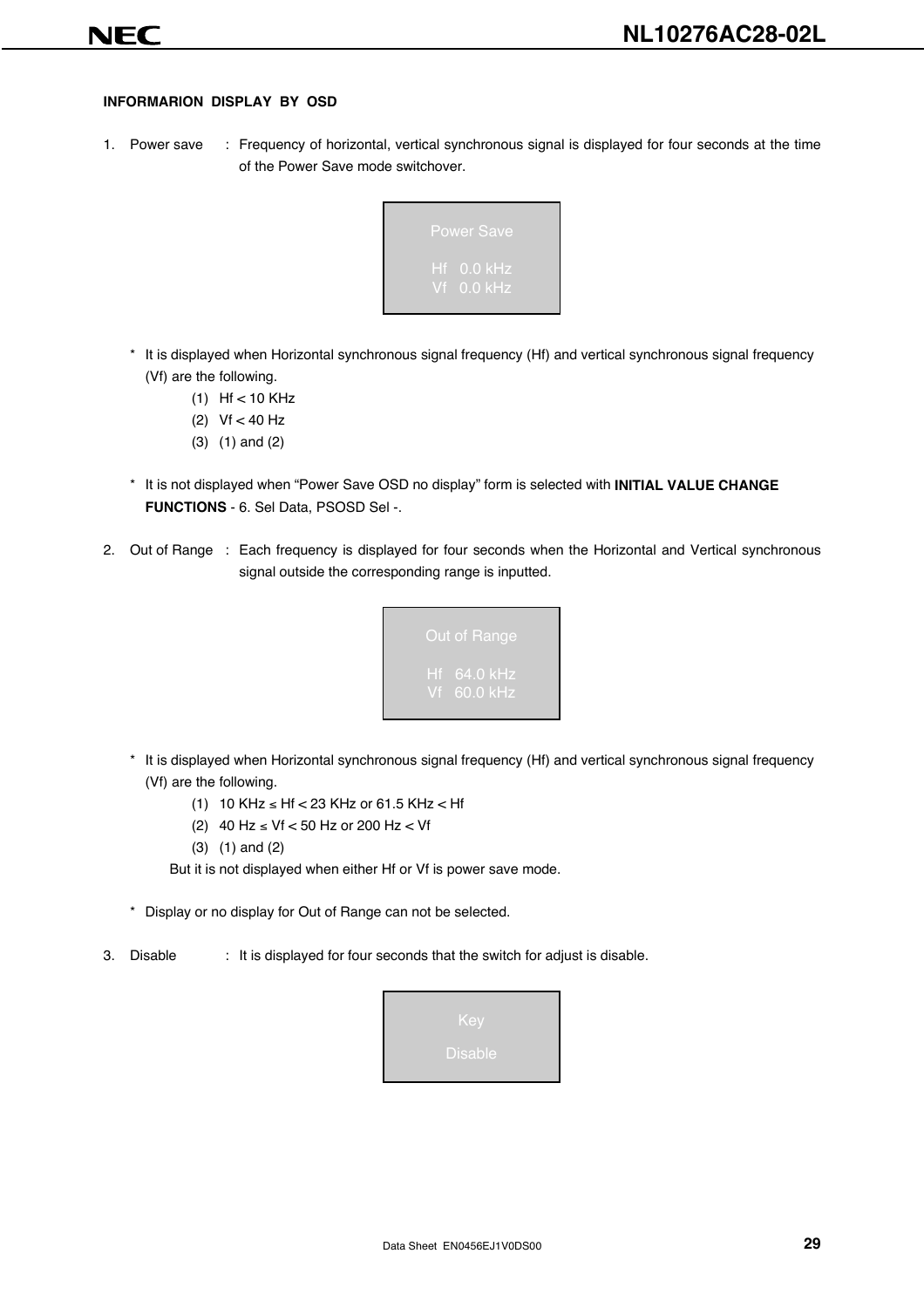#### **INFORMARION DISPLAY BY OSD**

1. Power save : Frequency of horizontal, vertical synchronous signal is displayed for four seconds at the time of the Power Save mode switchover.



- \* It is displayed when Horizontal synchronous signal frequency (Hf) and vertical synchronous signal frequency (Vf) are the following.
	- (1) Hf < 10 KHz
	- (2) Vf < 40 Hz
	- (3) (1) and (2)
- \* It is not displayed when "Power Save OSD no display" form is selected with **INITIAL VALUE CHANGE FUNCTIONS** - 6. Sel Data, PSOSD Sel -.
- 2. Out of Range : Each frequency is displayed for four seconds when the Horizontal and Vertical synchronous signal outside the corresponding range is inputted.



- \* It is displayed when Horizontal synchronous signal frequency (Hf) and vertical synchronous signal frequency (Vf) are the following.
	- (1) 10 KHz ≤ Hf < 23 KHz or 61.5 KHz < Hf
	- (2) 40 Hz ≤ Vf < 50 Hz or 200 Hz < Vf
	- (3) (1) and (2)

But it is not displayed when either Hf or Vf is power save mode.

\* Display or no display for Out of Range can not be selected.

3. Disable : It is displayed for four seconds that the switch for adjust is disable.

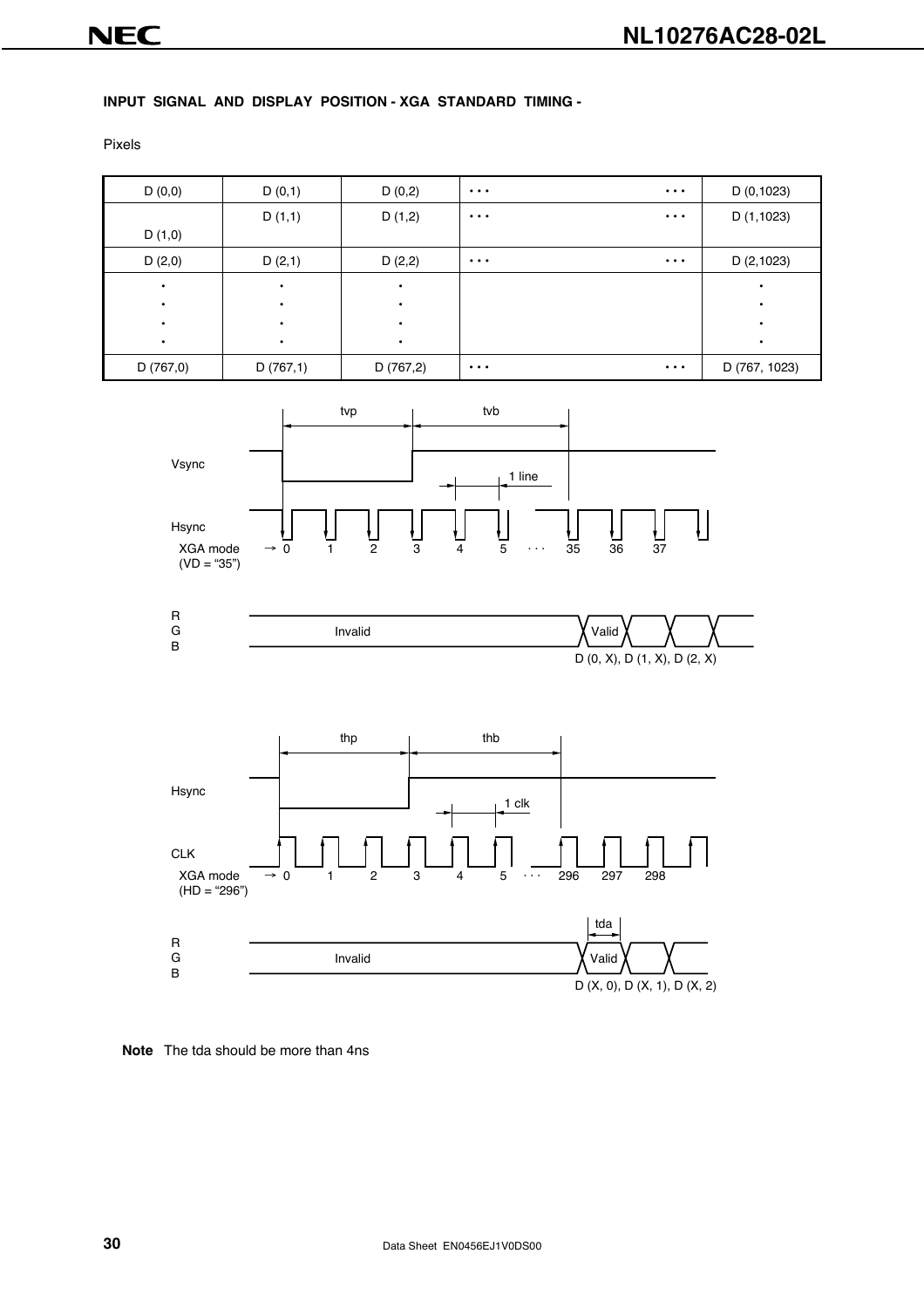#### **INPUT SIGNAL AND DISPLAY POSITION - XGA STANDARD TIMING -**

Pixels









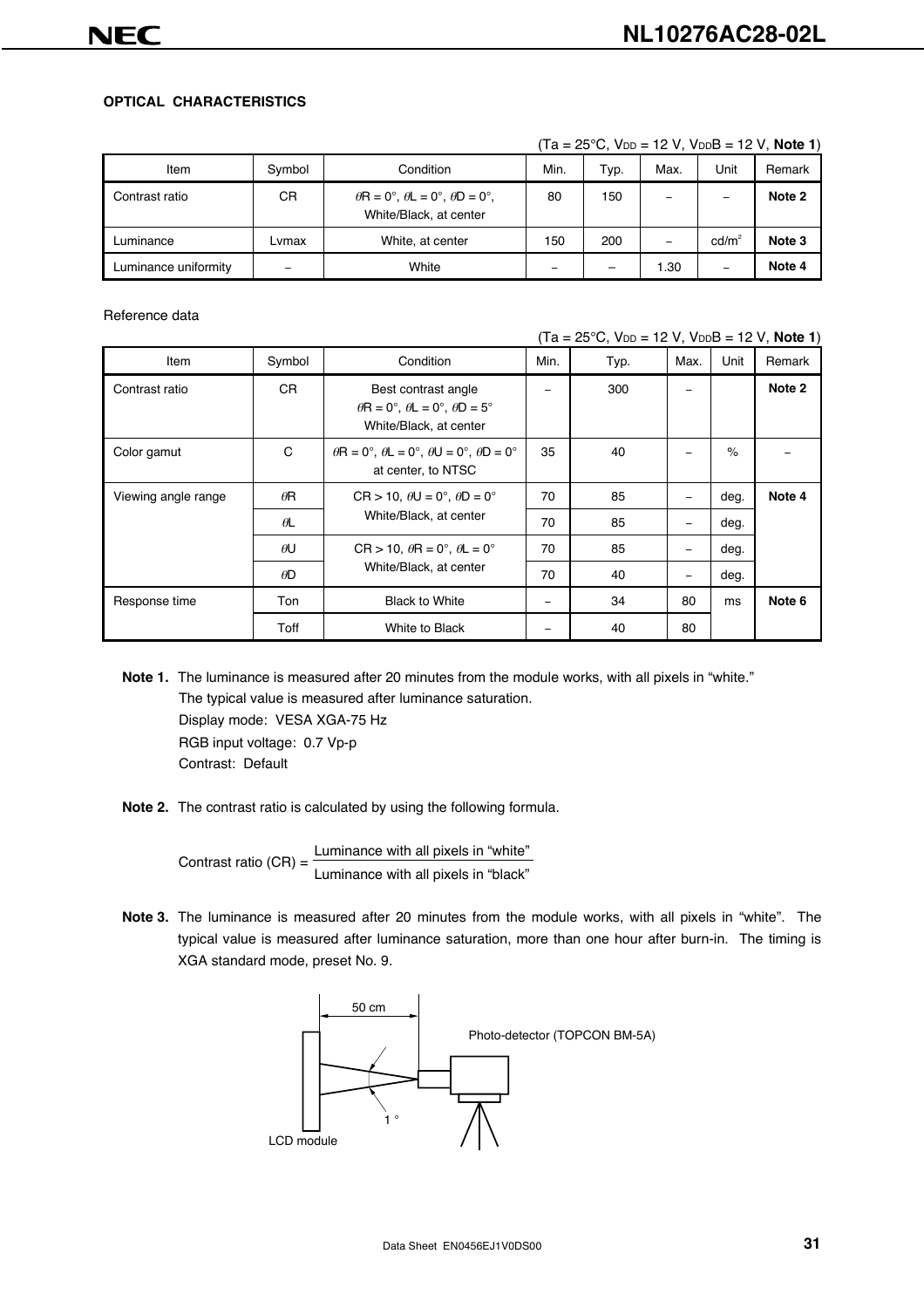#### **OPTICAL CHARACTERISTICS**

| Item                 | Symbol | Condition                                                                    | Min.                     | Typ. | Max.  | Unit            | Remark |
|----------------------|--------|------------------------------------------------------------------------------|--------------------------|------|-------|-----------------|--------|
| Contrast ratio       | СR     | $\theta$ R = 0°, $\theta$ L = 0°, $\theta$ D = 0°,<br>White/Black, at center | 80                       | 150  |       | -               | Note 2 |
| Luminance            | Lvmax  | White, at center                                                             | 150                      | 200  | -     | $\text{cd/m}^2$ | Note 3 |
| Luminance uniformity | -      | White                                                                        | $\overline{\phantom{0}}$ | -    | l .30 | -               | Note 4 |

 $(Ta = 25^{\circ}C, V_{DD} = 12 V, V_{DD}B = 12 V, Note 1)$ 

Reference data

 $(Ta = 25^{\circ}C, V_{DD} = 12 V, V_{DD}B = 12 V, Note 1)$ 

| Item                | Symbol     | Condition                                                                                          | Min. | Typ. | Max.                     | Unit | Remark |
|---------------------|------------|----------------------------------------------------------------------------------------------------|------|------|--------------------------|------|--------|
| Contrast ratio      | CR.        | Best contrast angle<br>$\theta$ R = 0°, $\theta$ L = 0°, $\theta$ D = 5°<br>White/Black, at center |      | 300  |                          |      | Note 2 |
| Color gamut         | C          | $\theta$ R = 0°, $\theta$ L = 0°, $\theta$ U = 0°, $\theta$ D = 0°<br>at center, to NTSC           | 35   | 40   |                          | $\%$ |        |
| Viewing angle range | $\theta$ R | $CR > 10$ , $\theta U = 0^\circ$ , $\theta D = 0^\circ$                                            | 70   | 85   |                          | deg. | Note 4 |
|                     | $\theta$ L | White/Black, at center                                                                             | 70   | 85   | -                        | deg. |        |
|                     | $\theta$ U | $CR > 10$ , $\theta R = 0^\circ$ , $\theta L = 0^\circ$                                            | 70   | 85   | $\overline{\phantom{m}}$ | deg. |        |
|                     | $\theta$ D | White/Black, at center                                                                             | 70   | 40   | -                        | deg. |        |
| Response time       | Ton        | <b>Black to White</b>                                                                              | -    | 34   | 80                       | ms   | Note 6 |
|                     | Toff       | White to Black                                                                                     | -    | 40   | 80                       |      |        |

- **Note 1.** The luminance is measured after 20 minutes from the module works, with all pixels in "white." The typical value is measured after luminance saturation. Display mode: VESA XGA-75 Hz RGB input voltage: 0.7 Vp-p Contrast: Default
- **Note 2.** The contrast ratio is calculated by using the following formula.

Contrast ratio  $(CR) = \frac{Luminance with all pixels in "white" }{Luminance with all pixels in "black" }$ 

**Note 3.** The luminance is measured after 20 minutes from the module works, with all pixels in "white". The typical value is measured after luminance saturation, more than one hour after burn-in. The timing is XGA standard mode, preset No. 9.

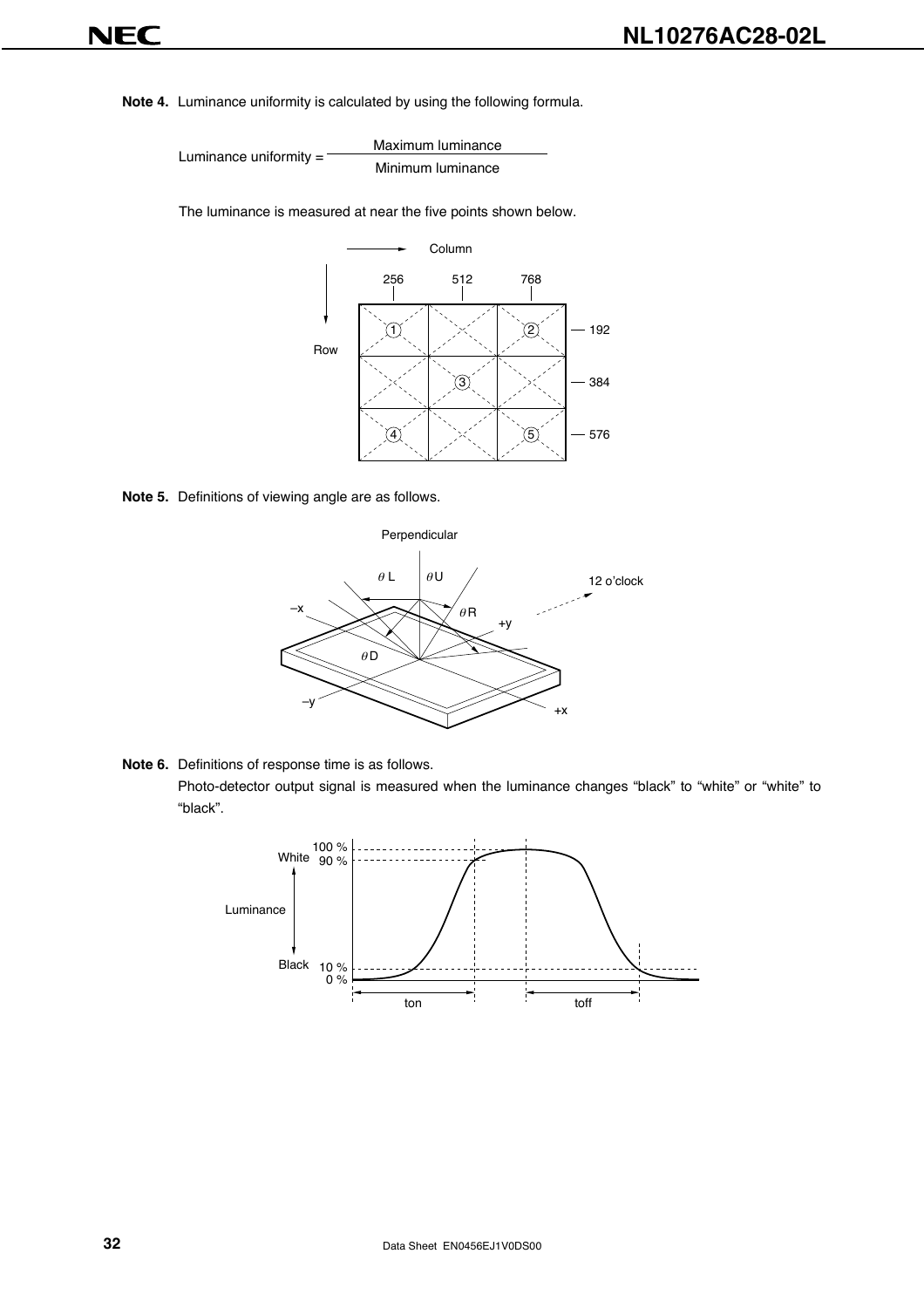**Note 4.** Luminance uniformity is calculated by using the following formula.

Maximum luminance Luminance uniformity = Minimum luminance

The luminance is measured at near the five points shown below.



**Note 5.** Definitions of viewing angle are as follows.



**Note 6.** Definitions of response time is as follows. Photo-detector output signal is measured when the luminance changes "black" to "white" or "white" to "black".

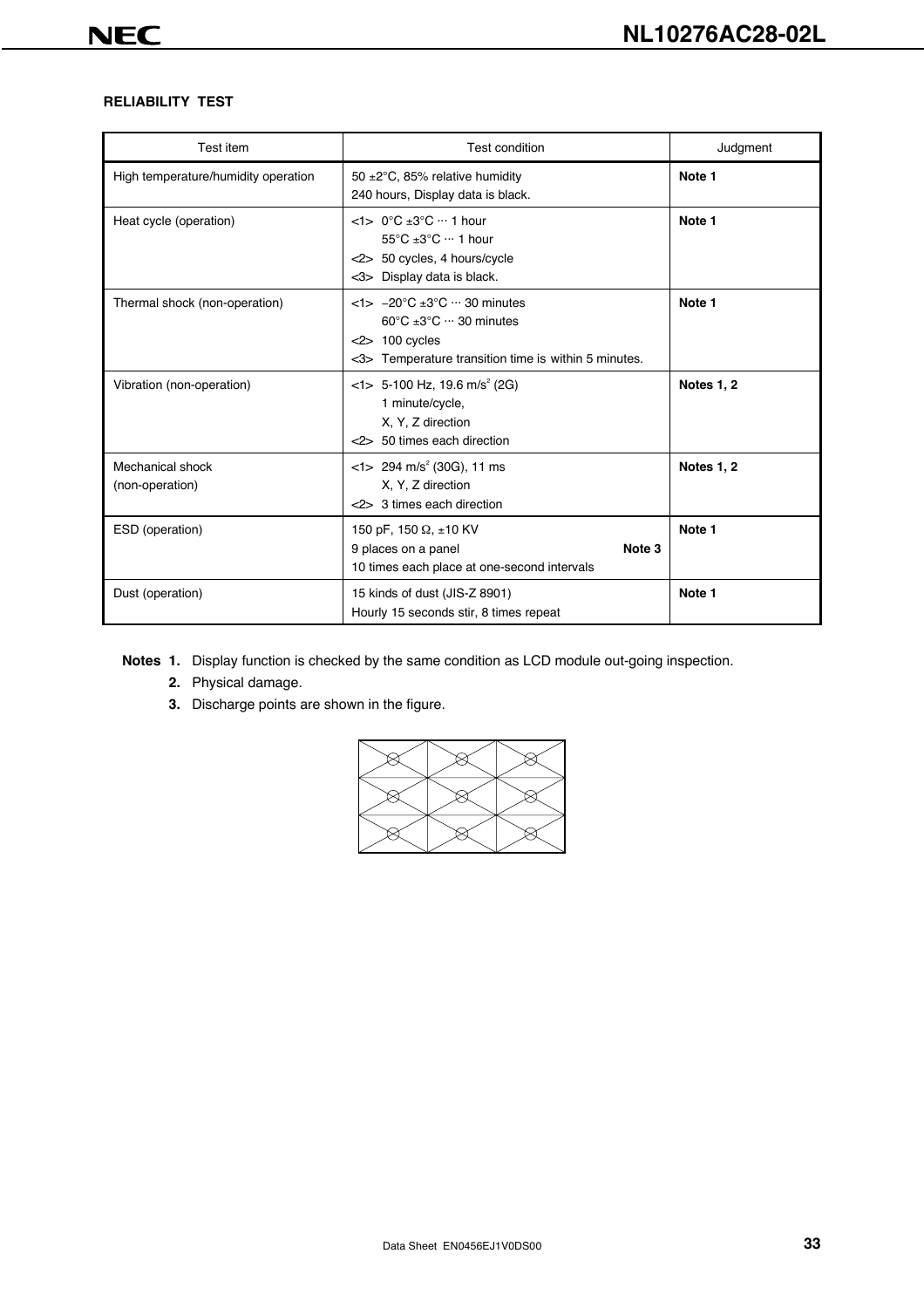#### **RELIABILITY TEST**

| Test item                           | <b>Test condition</b>                                                                                                                                                                             | Judgment          |
|-------------------------------------|---------------------------------------------------------------------------------------------------------------------------------------------------------------------------------------------------|-------------------|
| High temperature/humidity operation | 50 $\pm$ 2°C, 85% relative humidity<br>240 hours, Display data is black.                                                                                                                          | Note 1            |
| Heat cycle (operation)              | $<1$ > 0°C ±3°C ··· 1 hour<br>$55^{\circ}$ C $\pm 3^{\circ}$ C $\cdots$ 1 hour<br><2> 50 cycles, 4 hours/cycle<br>$<$ 3> Display data is black.                                                   | Note 1            |
| Thermal shock (non-operation)       | $<$ 1> $-20^{\circ}$ C $\pm 3^{\circ}$ C $\cdots$ 30 minutes<br>$60^{\circ}$ C $\pm 3^{\circ}$ C $\cdots$ 30 minutes<br>$<$ 2> 100 cycles<br><3> Temperature transition time is within 5 minutes. | Note 1            |
| Vibration (non-operation)           | $<$ 1> 5-100 Hz, 19.6 m/s <sup>2</sup> (2G)<br>1 minute/cycle,<br>X, Y, Z direction<br><2> 50 times each direction                                                                                | <b>Notes 1, 2</b> |
| Mechanical shock<br>(non-operation) | $<$ 1> 294 m/s <sup>2</sup> (30G), 11 ms<br>X, Y, Z direction<br><2> 3 times each direction                                                                                                       | Notes 1, 2        |
| ESD (operation)                     | 150 pF, 150 $\Omega$ , ±10 KV<br>Note 3<br>9 places on a panel<br>10 times each place at one-second intervals                                                                                     | Note 1            |
| Dust (operation)                    | 15 kinds of dust (JIS-Z 8901)<br>Hourly 15 seconds stir, 8 times repeat                                                                                                                           | Note 1            |

**Notes 1.** Display function is checked by the same condition as LCD module out-going inspection.

- **2.** Physical damage.
- **3.** Discharge points are shown in the figure.

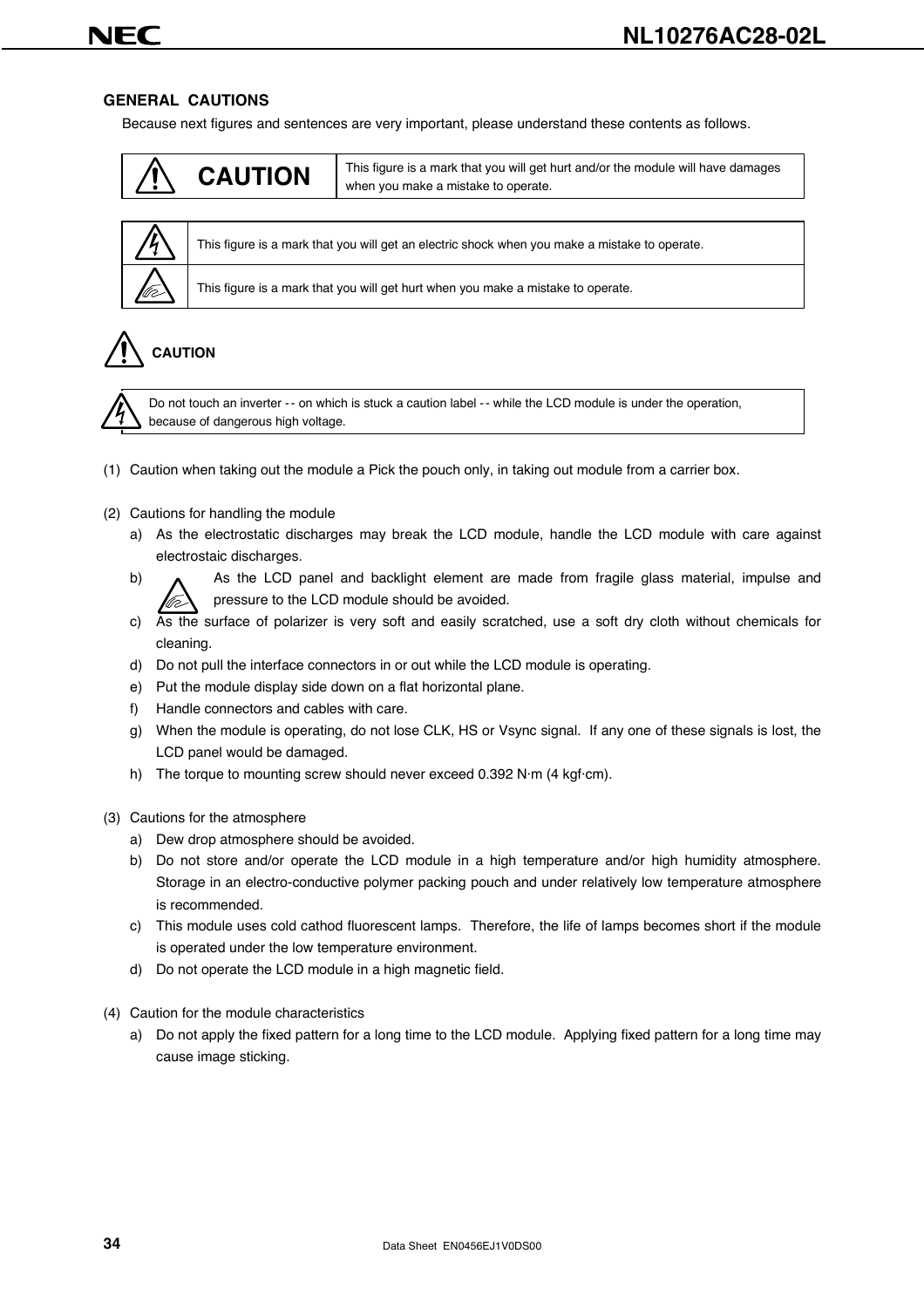#### **GENERAL CAUTIONS**

Because next figures and sentences are very important, please understand these contents as follows.

### **CAUTION** This figure is a mark that you will get hurt and/or the module will have damages when you make a mistake to operate.



This figure is a mark that you will get an electric shock when you make a mistake to operate.

This figure is a mark that you will get hurt when you make a mistake to operate.

# **CAUTION**



Do not touch an inverter -- on which is stuck a caution label -- while the LCD module is under the operation, because of dangerous high voltage.

- (1) Caution when taking out the module a Pick the pouch only, in taking out module from a carrier box.
- (2) Cautions for handling the module
	- a) As the electrostatic discharges may break the LCD module, handle the LCD module with care against electrostaic discharges.
	- b) A As the LCD panel and backlight element are made from fragile glass material, impulse and pressure to the LCD module should be avoided.
	- c) As the surface of polarizer is very soft and easily scratched, use a soft dry cloth without chemicals for cleaning.
	- d) Do not pull the interface connectors in or out while the LCD module is operating.
	- e) Put the module display side down on a flat horizontal plane.
	- f) Handle connectors and cables with care.
	- g) When the module is operating, do not lose CLK, HS or Vsync signal. If any one of these signals is lost, the LCD panel would be damaged.
	- h) The torque to mounting screw should never exceed 0.392 N·m (4 kgf·cm).
- (3) Cautions for the atmosphere
	- a) Dew drop atmosphere should be avoided.
	- b) Do not store and/or operate the LCD module in a high temperature and/or high humidity atmosphere. Storage in an electro-conductive polymer packing pouch and under relatively low temperature atmosphere is recommended.
	- c) This module uses cold cathod fluorescent lamps. Therefore, the life of lamps becomes short if the module is operated under the low temperature environment.
	- d) Do not operate the LCD module in a high magnetic field.
- (4) Caution for the module characteristics
	- a) Do not apply the fixed pattern for a long time to the LCD module. Applying fixed pattern for a long time may cause image sticking.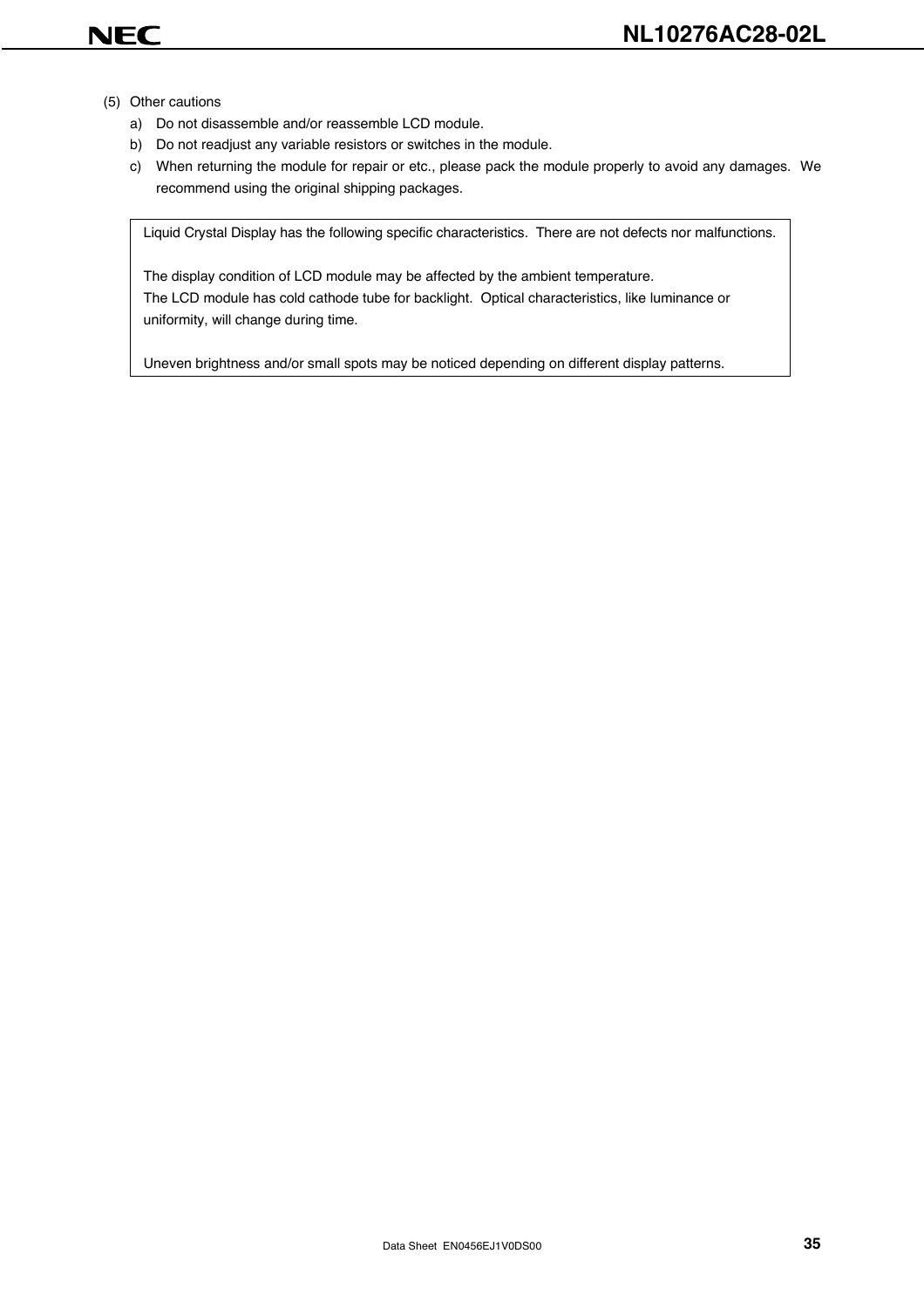- (5) Other cautions
	- a) Do not disassemble and/or reassemble LCD module.
	- b) Do not readjust any variable resistors or switches in the module.
	- c) When returning the module for repair or etc., please pack the module properly to avoid any damages. We recommend using the original shipping packages.

Liquid Crystal Display has the following specific characteristics. There are not defects nor malfunctions.

The display condition of LCD module may be affected by the ambient temperature. The LCD module has cold cathode tube for backlight. Optical characteristics, like luminance or uniformity, will change during time.

Uneven brightness and/or small spots may be noticed depending on different display patterns.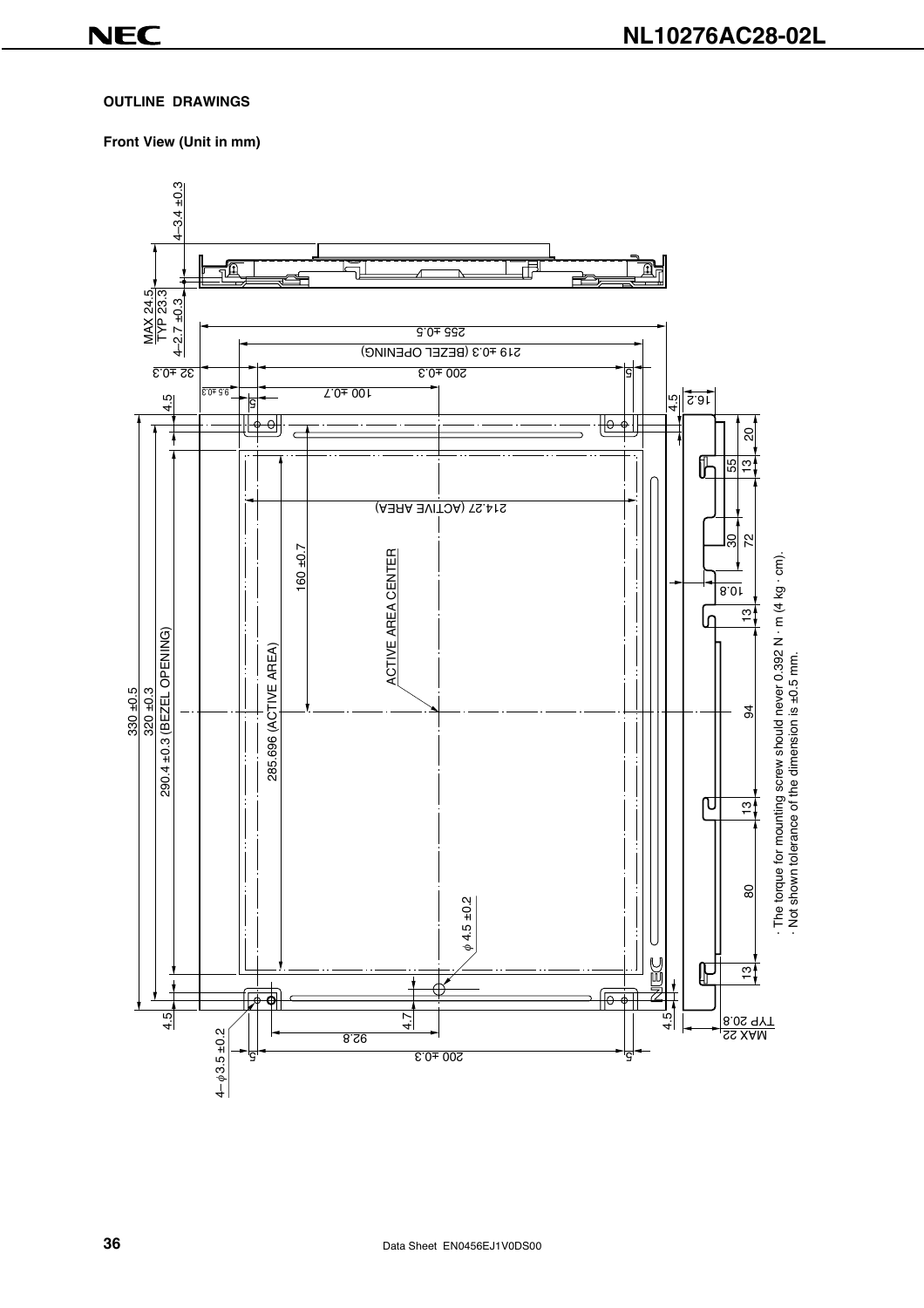#### **OUTLINE DRAWINGS**

#### **Front View (Unit in mm)**

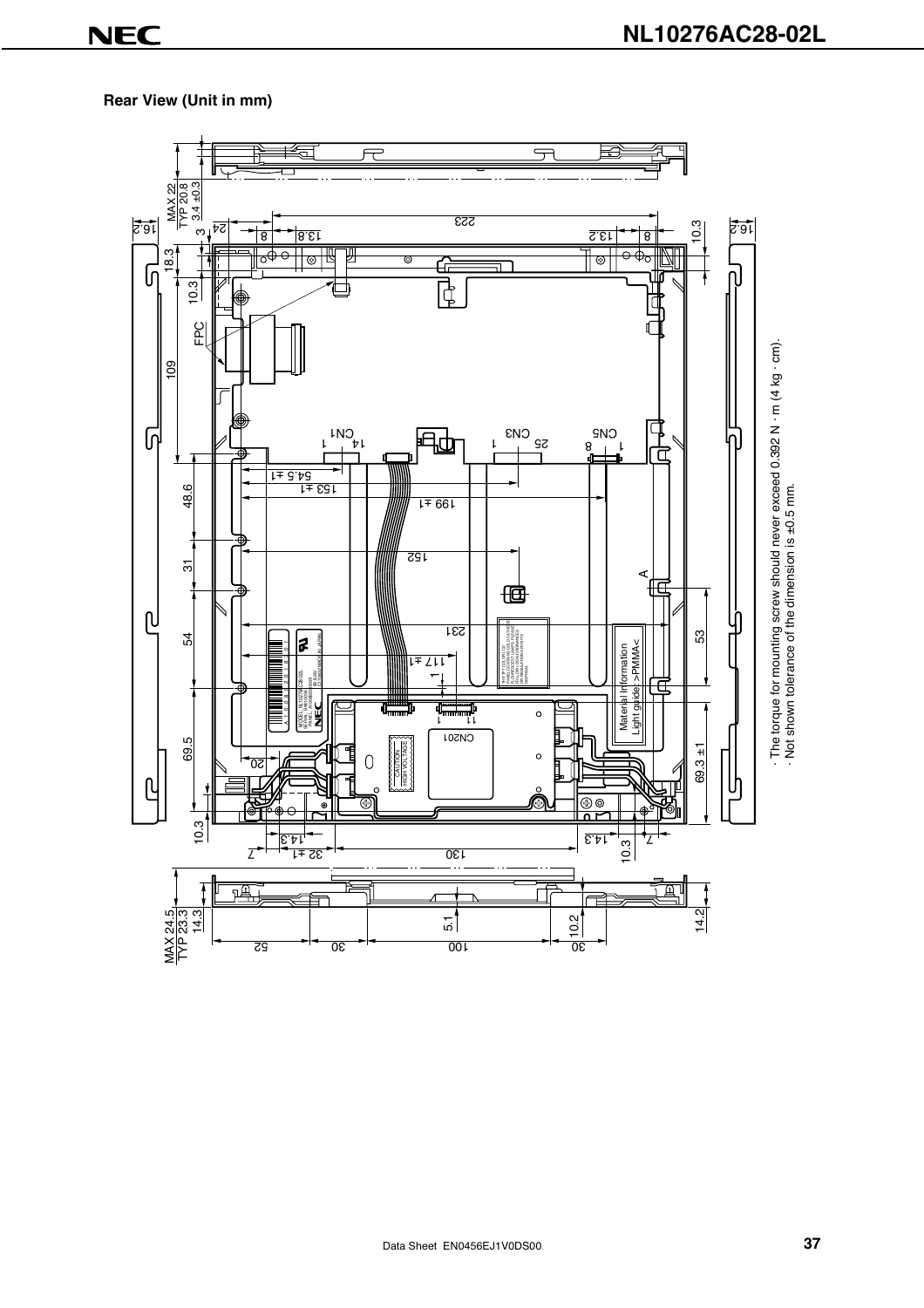### **Rear View (Unit in mm)**